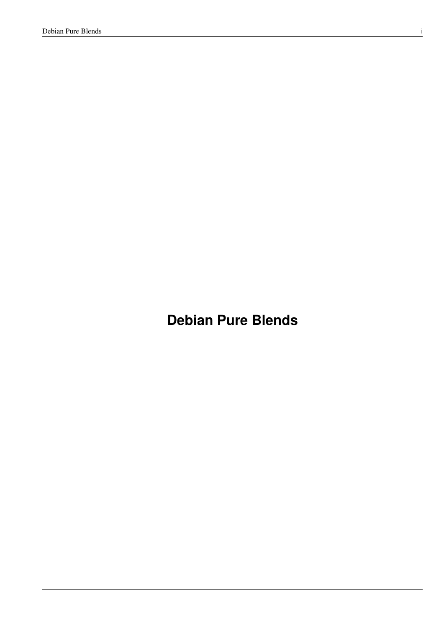<span id="page-0-0"></span>**Debian Pure Blends**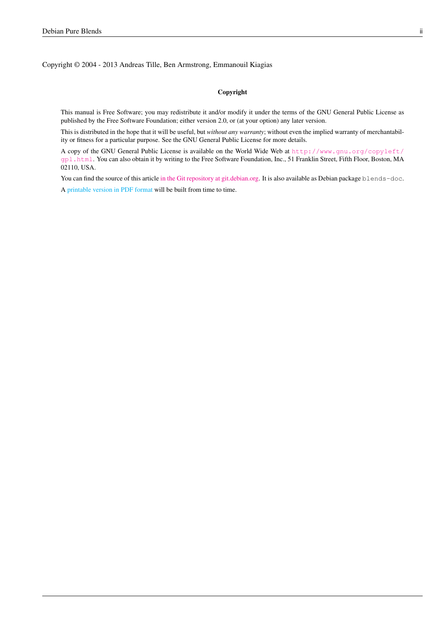Copyright © 2004 - 2013 Andreas Tille, Ben Armstrong, Emmanouil Kiagias

#### Copyright

This manual is Free Software; you may redistribute it and/or modify it under the terms of the GNU General Public License as published by the Free Software Foundation; either version 2.0, or (at your option) any later version.

This is distributed in the hope that it will be useful, but *without any warranty*; without even the implied warranty of merchantability or fitness for a particular purpose. See the GNU General Public License for more details.

A copy of the GNU General Public License is available on the World Wide Web at [http://www.gnu.org/copyleft/](http://www.gnu.org/copyleft/gpl.html) [gpl.html](http://www.gnu.org/copyleft/gpl.html). You can also obtain it by writing to the Free Software Foundation, Inc., 51 Franklin Street, Fifth Floor, Boston, MA 02110, USA.

You can find the source of this article [in the Git repository at git.debian.org.](http://git.debian.org/?p=blends/blends.git;a=tree;f=doc/en) It is also available as Debian package blends-doc. A [printable version in PDF format](#page-0-0) will be built from time to time.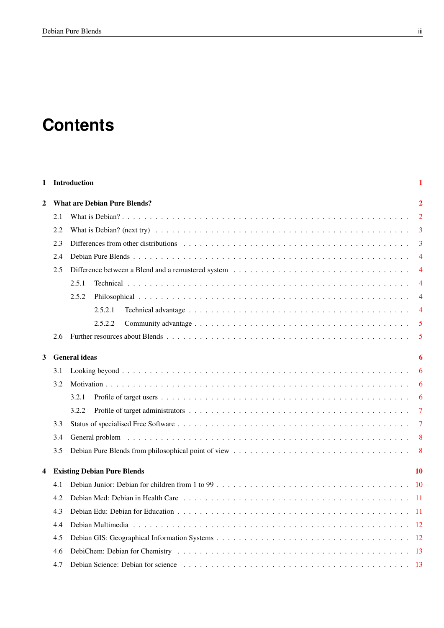# **Contents**

| 1              |     | Introduction                                                                                                                                                                                                                   | 1              |  |  |
|----------------|-----|--------------------------------------------------------------------------------------------------------------------------------------------------------------------------------------------------------------------------------|----------------|--|--|
| $\overline{2}$ |     | <b>What are Debian Pure Blends?</b>                                                                                                                                                                                            |                |  |  |
|                | 2.1 |                                                                                                                                                                                                                                | $\overline{2}$ |  |  |
|                | 2.2 |                                                                                                                                                                                                                                | 3              |  |  |
|                | 2.3 |                                                                                                                                                                                                                                | $\overline{3}$ |  |  |
|                | 2.4 |                                                                                                                                                                                                                                | $\overline{4}$ |  |  |
|                | 2.5 |                                                                                                                                                                                                                                | $\overline{4}$ |  |  |
|                |     | 2.5.1                                                                                                                                                                                                                          | $\overline{4}$ |  |  |
|                |     | 2.5.2                                                                                                                                                                                                                          | $\overline{4}$ |  |  |
|                |     | 2.5.2.1                                                                                                                                                                                                                        | $\overline{4}$ |  |  |
|                |     | 2.5.2.2                                                                                                                                                                                                                        | $\overline{5}$ |  |  |
|                | 2.6 |                                                                                                                                                                                                                                | $\overline{5}$ |  |  |
| $\mathbf{3}$   |     | <b>General ideas</b>                                                                                                                                                                                                           |                |  |  |
| 3.1            |     | 6                                                                                                                                                                                                                              |                |  |  |
|                | 3.2 |                                                                                                                                                                                                                                | -6             |  |  |
|                |     | 3.2.1                                                                                                                                                                                                                          |                |  |  |
|                |     | 3.2.2                                                                                                                                                                                                                          | $\overline{7}$ |  |  |
|                | 3.3 |                                                                                                                                                                                                                                |                |  |  |
|                | 3.4 | General problem (a) contain the contract of the contract of the contract of the contract of the contract of the contract of the contract of the contract of the contract of the contract of the contract of the contract of th |                |  |  |
|                | 3.5 |                                                                                                                                                                                                                                |                |  |  |
| 4              |     | <b>Existing Debian Pure Blends</b>                                                                                                                                                                                             | <b>10</b>      |  |  |
|                | 4.1 |                                                                                                                                                                                                                                |                |  |  |
|                | 4.2 |                                                                                                                                                                                                                                |                |  |  |
|                |     |                                                                                                                                                                                                                                | -11            |  |  |
|                | 4.4 |                                                                                                                                                                                                                                |                |  |  |
|                | 4.5 |                                                                                                                                                                                                                                |                |  |  |
|                | 4.6 |                                                                                                                                                                                                                                |                |  |  |
|                | 4.7 |                                                                                                                                                                                                                                |                |  |  |
|                |     |                                                                                                                                                                                                                                |                |  |  |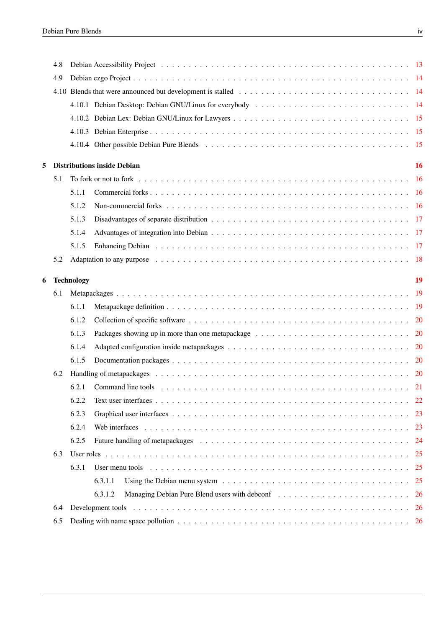|   | 4.8 |                   |                                                                                                                                                                                                                                |           |
|---|-----|-------------------|--------------------------------------------------------------------------------------------------------------------------------------------------------------------------------------------------------------------------------|-----------|
|   | 4.9 |                   |                                                                                                                                                                                                                                |           |
|   |     |                   |                                                                                                                                                                                                                                |           |
|   |     |                   |                                                                                                                                                                                                                                |           |
|   |     |                   |                                                                                                                                                                                                                                |           |
|   |     |                   |                                                                                                                                                                                                                                |           |
|   |     |                   |                                                                                                                                                                                                                                |           |
| 5 |     |                   | <b>Distributions inside Debian</b>                                                                                                                                                                                             | <b>16</b> |
|   | 5.1 |                   |                                                                                                                                                                                                                                |           |
|   |     | 5.1.1             |                                                                                                                                                                                                                                |           |
|   |     | 5.1.2             |                                                                                                                                                                                                                                |           |
|   |     | 5.1.3             |                                                                                                                                                                                                                                |           |
|   |     | 5.1.4             |                                                                                                                                                                                                                                |           |
|   |     | 5.1.5             |                                                                                                                                                                                                                                |           |
|   | 5.2 |                   |                                                                                                                                                                                                                                |           |
| 6 |     | <b>Technology</b> |                                                                                                                                                                                                                                | <b>19</b> |
|   | 6.1 |                   |                                                                                                                                                                                                                                |           |
|   |     | 6.1.1             |                                                                                                                                                                                                                                |           |
|   |     | 6.1.2             |                                                                                                                                                                                                                                |           |
|   |     | 6.1.3             |                                                                                                                                                                                                                                |           |
|   |     | 6.1.4             |                                                                                                                                                                                                                                |           |
|   |     | 6.1.5             |                                                                                                                                                                                                                                |           |
|   | 6.2 |                   |                                                                                                                                                                                                                                |           |
|   |     | 6.2.1             | Command line tools enterprise to the contract of the contract of the contract of the contract of the contract of the contract of the contract of the contract of the contract of the contract of the contract of the contract  |           |
|   |     | 6.2.2             |                                                                                                                                                                                                                                |           |
|   |     | 6.2.3             |                                                                                                                                                                                                                                |           |
|   |     | 6.2.4             |                                                                                                                                                                                                                                |           |
|   |     | 6.2.5             | Future handling of metapackages expansion of the state of the state of the state of the state of the state of the state of the state of the state of the state of the state of the state of the state of the state of the stat |           |
|   | 6.3 |                   |                                                                                                                                                                                                                                |           |
|   |     | 6.3.1             |                                                                                                                                                                                                                                |           |
|   |     |                   | 6.3.1.1                                                                                                                                                                                                                        |           |
|   |     |                   | 6.3.1.2                                                                                                                                                                                                                        |           |
|   | 6.4 |                   |                                                                                                                                                                                                                                |           |
|   | 6.5 |                   |                                                                                                                                                                                                                                |           |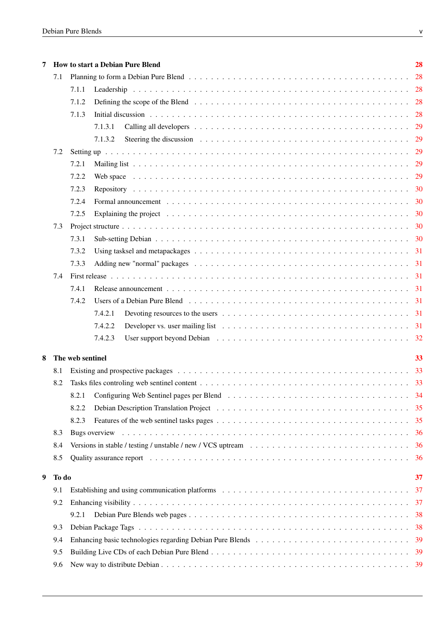| 7                |       |                  | <b>How to start a Debian Pure Blend</b>                                                                                                                                                                                        |  | 28            |
|------------------|-------|------------------|--------------------------------------------------------------------------------------------------------------------------------------------------------------------------------------------------------------------------------|--|---------------|
|                  | 7.1   |                  |                                                                                                                                                                                                                                |  | 28            |
|                  |       | 7.1.1            |                                                                                                                                                                                                                                |  |               |
|                  |       | 7.1.2            |                                                                                                                                                                                                                                |  | 28            |
|                  |       | 7.1.3            |                                                                                                                                                                                                                                |  | <b>28</b>     |
|                  |       |                  | 7.1.3.1                                                                                                                                                                                                                        |  | 29            |
|                  |       |                  | 7.1.3.2                                                                                                                                                                                                                        |  |               |
|                  | 7.2   |                  | Setting up received a consequence of the contract of the consequence of the consequence of the consequence of the consequence of the consequence of the consequence of the consequence of the consequence of the consequence o |  | 29            |
|                  |       | 7.2.1            |                                                                                                                                                                                                                                |  | <sup>29</sup> |
|                  |       | 7.2.2            | Web space reconstruction of the space of the space of the space of the space of the space of the space of the space of the space of the space of the space of the space of the space of the space of the space of the space of |  | 29            |
|                  |       | 7.2.3            |                                                                                                                                                                                                                                |  | <sup>30</sup> |
|                  |       | 7.2.4            |                                                                                                                                                                                                                                |  |               |
|                  |       | 7.2.5            |                                                                                                                                                                                                                                |  | - 30          |
|                  | 7.3   |                  |                                                                                                                                                                                                                                |  | -30           |
|                  |       | 7.3.1            |                                                                                                                                                                                                                                |  |               |
|                  |       | 7.3.2            |                                                                                                                                                                                                                                |  |               |
|                  |       | 7.3.3            |                                                                                                                                                                                                                                |  |               |
|                  | 7.4   |                  |                                                                                                                                                                                                                                |  |               |
|                  |       | 7.4.1            |                                                                                                                                                                                                                                |  |               |
|                  |       | 7.4.2            |                                                                                                                                                                                                                                |  |               |
|                  |       |                  | 7.4.2.1                                                                                                                                                                                                                        |  |               |
|                  |       |                  | 7.4.2.2                                                                                                                                                                                                                        |  |               |
|                  |       |                  | 7.4.2.3                                                                                                                                                                                                                        |  |               |
| 8                |       | The web sentinel |                                                                                                                                                                                                                                |  | 33            |
|                  | 8.1   |                  |                                                                                                                                                                                                                                |  | 33            |
|                  | 8.2   |                  |                                                                                                                                                                                                                                |  |               |
|                  |       | 8.2.1            |                                                                                                                                                                                                                                |  | - 34          |
|                  |       | 8.2.2            |                                                                                                                                                                                                                                |  | 35            |
|                  |       | 8.2.3            |                                                                                                                                                                                                                                |  |               |
|                  | 8.3   |                  |                                                                                                                                                                                                                                |  | 36            |
|                  | 8.4   |                  |                                                                                                                                                                                                                                |  | 36            |
|                  | 8.5   |                  |                                                                                                                                                                                                                                |  | 36            |
| $\boldsymbol{9}$ | To do |                  |                                                                                                                                                                                                                                |  | 37            |
|                  | 9.1   |                  |                                                                                                                                                                                                                                |  | 37            |
|                  | 9.2   |                  |                                                                                                                                                                                                                                |  | 37            |
|                  |       | 9.2.1            |                                                                                                                                                                                                                                |  | 38            |
|                  | 9.3   |                  |                                                                                                                                                                                                                                |  | - 38          |
|                  | 9.4   |                  |                                                                                                                                                                                                                                |  | 39            |
|                  | 9.5   |                  |                                                                                                                                                                                                                                |  | 39            |
|                  | 9.6   |                  |                                                                                                                                                                                                                                |  | -39           |
|                  |       |                  |                                                                                                                                                                                                                                |  |               |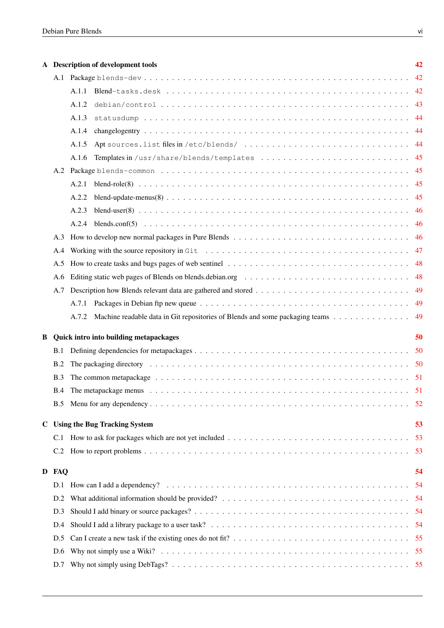|   |            | A Description of development tools                                                                                                                                                                                             | 42  |
|---|------------|--------------------------------------------------------------------------------------------------------------------------------------------------------------------------------------------------------------------------------|-----|
|   |            |                                                                                                                                                                                                                                | 42  |
|   |            | A.1.1                                                                                                                                                                                                                          | -42 |
|   |            | A.1.2                                                                                                                                                                                                                          |     |
|   |            | A.1.3                                                                                                                                                                                                                          | -44 |
|   |            | A.1.4                                                                                                                                                                                                                          |     |
|   |            | A.1.5                                                                                                                                                                                                                          |     |
|   |            | Templates in /usr/share/blends/templates  45<br>A.1.6                                                                                                                                                                          |     |
|   |            |                                                                                                                                                                                                                                |     |
|   |            | A.2.1                                                                                                                                                                                                                          |     |
|   |            | A.2.2                                                                                                                                                                                                                          | -45 |
|   |            | A.2.3                                                                                                                                                                                                                          |     |
|   |            | A.2.4                                                                                                                                                                                                                          |     |
|   | A.3        |                                                                                                                                                                                                                                |     |
|   | A.4        |                                                                                                                                                                                                                                |     |
|   | A.5        |                                                                                                                                                                                                                                |     |
|   | A.6        |                                                                                                                                                                                                                                |     |
|   | A.7        |                                                                                                                                                                                                                                | -49 |
|   |            | A.7.1                                                                                                                                                                                                                          |     |
|   |            | Machine readable data in Git repositories of Blends and some packaging teams<br>A.7.2                                                                                                                                          | 49  |
| B |            | Quick intro into building metapackages                                                                                                                                                                                         | 50  |
|   | B.1        |                                                                                                                                                                                                                                | 50  |
|   | B.2        |                                                                                                                                                                                                                                |     |
|   | <b>B.3</b> | The common metapackage expansion of the common metapackage expansion of the common metapackage expansion of the common set of the common set of the common set of the common set of the common set of the common set of the co |     |
|   |            |                                                                                                                                                                                                                                | 51  |
|   | B.5        |                                                                                                                                                                                                                                |     |
|   |            | C Using the Bug Tracking System                                                                                                                                                                                                | 53  |
|   | C.1        |                                                                                                                                                                                                                                | 53  |
|   | C.2        |                                                                                                                                                                                                                                |     |
|   | D FAQ      |                                                                                                                                                                                                                                | 54  |
|   | D.1        |                                                                                                                                                                                                                                | 54  |
|   | D.2        |                                                                                                                                                                                                                                |     |
|   | D.3        |                                                                                                                                                                                                                                |     |
|   | D.4        |                                                                                                                                                                                                                                |     |
|   | D.5        |                                                                                                                                                                                                                                |     |
|   | D.6        |                                                                                                                                                                                                                                |     |
|   | D.7        |                                                                                                                                                                                                                                |     |
|   |            |                                                                                                                                                                                                                                |     |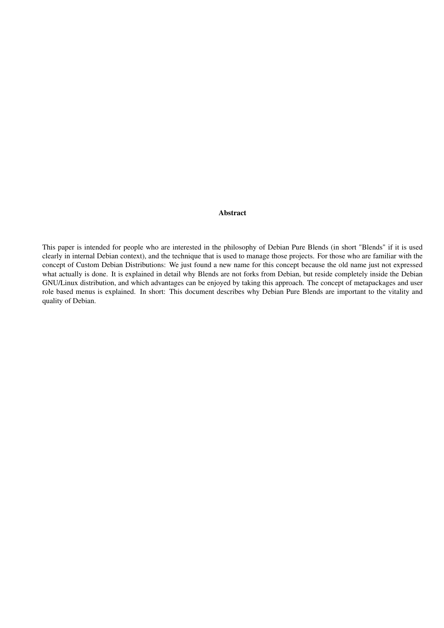Abstract

This paper is intended for people who are interested in the philosophy of Debian Pure Blends (in short "Blends" if it is used clearly in internal Debian context), and the technique that is used to manage those projects. For those who are familiar with the concept of Custom Debian Distributions: We just found a new name for this concept because the old name just not expressed what actually is done. It is explained in detail why Blends are not forks from Debian, but reside completely inside the Debian GNU/Linux distribution, and which advantages can be enjoyed by taking this approach. The concept of metapackages and user role based menus is explained. In short: This document describes why Debian Pure Blends are important to the vitality and quality of Debian.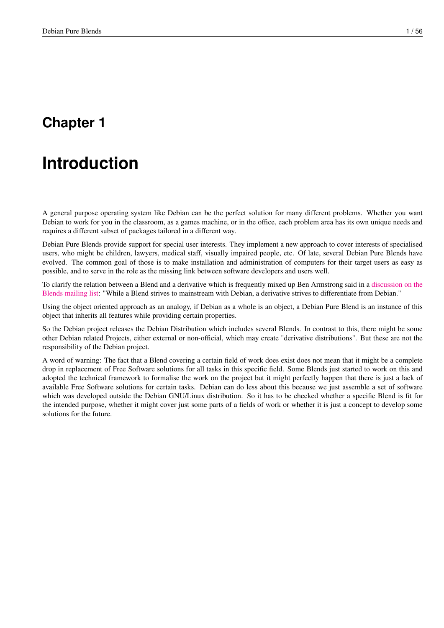# <span id="page-7-0"></span>**Chapter 1**

# **Introduction**

A general purpose operating system like Debian can be the perfect solution for many different problems. Whether you want Debian to work for you in the classroom, as a games machine, or in the office, each problem area has its own unique needs and requires a different subset of packages tailored in a different way.

Debian Pure Blends provide support for special user interests. They implement a new approach to cover interests of specialised users, who might be children, lawyers, medical staff, visually impaired people, etc. Of late, several Debian Pure Blends have evolved. The common goal of those is to make installation and administration of computers for their target users as easy as possible, and to serve in the role as the missing link between software developers and users well.

To clarify the relation between a Blend and a derivative which is frequently mixed up Ben Armstrong said in a [discussion on the](http://lists.debian.org/debian-blends/2011/07/msg00010.html) [Blends mailing list:](http://lists.debian.org/debian-blends/2011/07/msg00010.html) "While a Blend strives to mainstream with Debian, a derivative strives to differentiate from Debian."

Using the object oriented approach as an analogy, if Debian as a whole is an object, a Debian Pure Blend is an instance of this object that inherits all features while providing certain properties.

So the Debian project releases the Debian Distribution which includes several Blends. In contrast to this, there might be some other Debian related Projects, either external or non-official, which may create "derivative distributions". But these are not the responsibility of the Debian project.

A word of warning: The fact that a Blend covering a certain field of work does exist does not mean that it might be a complete drop in replacement of Free Software solutions for all tasks in this specific field. Some Blends just started to work on this and adopted the technical framework to formalise the work on the project but it might perfectly happen that there is just a lack of available Free Software solutions for certain tasks. Debian can do less about this because we just assemble a set of software which was developed outside the Debian GNU/Linux distribution. So it has to be checked whether a specific Blend is fit for the intended purpose, whether it might cover just some parts of a fields of work or whether it is just a concept to develop some solutions for the future.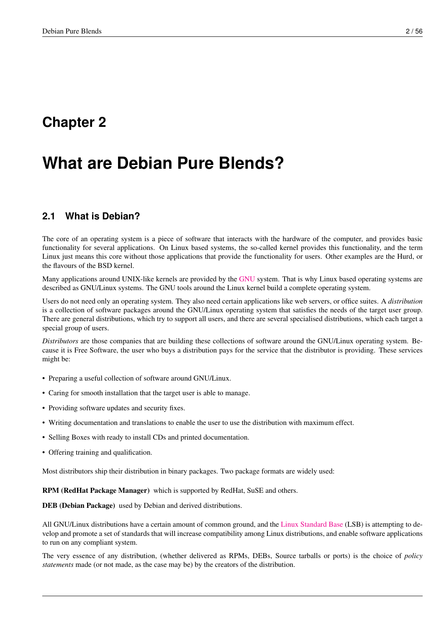# <span id="page-8-0"></span>**Chapter 2**

# **What are Debian Pure Blends?**

# <span id="page-8-1"></span>**2.1 What is Debian?**

The core of an operating system is a piece of software that interacts with the hardware of the computer, and provides basic functionality for several applications. On Linux based systems, the so-called kernel provides this functionality, and the term Linux just means this core without those applications that provide the functionality for users. Other examples are the Hurd, or the flavours of the BSD kernel.

Many applications around UNIX-like kernels are provided by the [GNU](http://www.gnu.org/) system. That is why Linux based operating systems are described as GNU/Linux systems. The GNU tools around the Linux kernel build a complete operating system.

Users do not need only an operating system. They also need certain applications like web servers, or office suites. A *distribution* is a collection of software packages around the GNU/Linux operating system that satisfies the needs of the target user group. There are general distributions, which try to support all users, and there are several specialised distributions, which each target a special group of users.

*Distributors* are those companies that are building these collections of software around the GNU/Linux operating system. Because it is Free Software, the user who buys a distribution pays for the service that the distributor is providing. These services might be:

- Preparing a useful collection of software around GNU/Linux.
- Caring for smooth installation that the target user is able to manage.
- Providing software updates and security fixes.
- Writing documentation and translations to enable the user to use the distribution with maximum effect.
- Selling Boxes with ready to install CDs and printed documentation.
- Offering training and qualification.

Most distributors ship their distribution in binary packages. Two package formats are widely used:

RPM (RedHat Package Manager) which is supported by RedHat, SuSE and others.

DEB (Debian Package) used by Debian and derived distributions.

All GNU/Linux distributions have a certain amount of common ground, and the [Linux Standard Base](http://www.linuxbase.org/) (LSB) is attempting to develop and promote a set of standards that will increase compatibility among Linux distributions, and enable software applications to run on any compliant system.

The very essence of any distribution, (whether delivered as RPMs, DEBs, Source tarballs or ports) is the choice of *policy statements* made (or not made, as the case may be) by the creators of the distribution.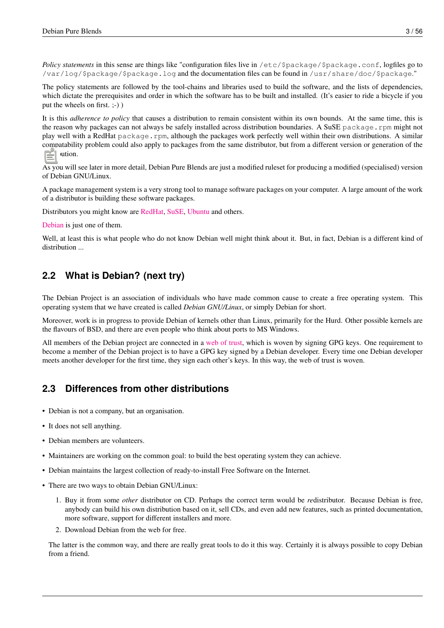*Policy statements* in this sense are things like "configuration files live in /etc/\$package/\$package.conf, logfiles go to /var/log/\$package/\$package.log and the documentation files can be found in /usr/share/doc/\$package."

The policy statements are followed by the tool-chains and libraries used to build the software, and the lists of dependencies, which dictate the prerequisites and order in which the software has to be built and installed. (It's easier to ride a bicycle if you put the wheels on first. ;-) )

It is this *adherence to policy* that causes a distribution to remain consistent within its own bounds. At the same time, this is the reason why packages can not always be safely installed across distribution boundaries. A SuSE package.rpm might not play well with a RedHat package.rpm, although the packages work perfectly well within their own distributions. A similar compatability problem could also apply to packages from the same distributor, but from a different version or generation of the distribution.

As you will see later in more detail, Debian Pure Blends are just a modified ruleset for producing a modified (specialised) version of Debian GNU/Linux.

A package management system is a very strong tool to manage software packages on your computer. A large amount of the work of a distributor is building these software packages.

Distributors you might know are [RedHat,](http://www.redhat.com/) [SuSE,](http://www.suse.com/) [Ubuntu](https://www.ubuntu.com/) and others.

[Debian](http://www.debian.org) is just one of them.

Well, at least this is what people who do not know Debian well might think about it. But, in fact, Debian is a different kind of distribution ...

# <span id="page-9-0"></span>**2.2 What is Debian? (next try)**

The Debian Project is an association of individuals who have made common cause to create a free operating system. This operating system that we have created is called *Debian GNU/Linux*, or simply Debian for short.

Moreover, work is in progress to provide Debian of kernels other than Linux, primarily for the Hurd. Other possible kernels are the flavours of BSD, and there are even people who think about ports to MS Windows.

All members of the Debian project are connected in a [web of trust,](http://people.debian.org/~tille/talks/img/earthkeyring.png) which is woven by signing GPG keys. One requirement to become a member of the Debian project is to have a GPG key signed by a Debian developer. Every time one Debian developer meets another developer for the first time, they sign each other's keys. In this way, the web of trust is woven.

# <span id="page-9-1"></span>**2.3 Differences from other distributions**

- Debian is not a company, but an organisation.
- It does not sell anything.
- Debian members are volunteers.
- Maintainers are working on the common goal: to build the best operating system they can achieve.
- Debian maintains the largest collection of ready-to-install Free Software on the Internet.
- There are two ways to obtain Debian GNU/Linux:
	- 1. Buy it from some *other* distributor on CD. Perhaps the correct term would be *re*distributor. Because Debian is free, anybody can build his own distribution based on it, sell CDs, and even add new features, such as printed documentation, more software, support for different installers and more.
	- 2. Download Debian from the web for free.

The latter is the common way, and there are really great tools to do it this way. Certainly it is always possible to copy Debian from a friend.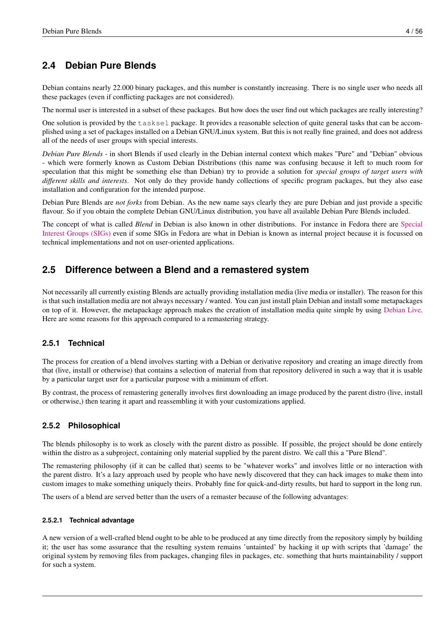# <span id="page-10-0"></span>**2.4 Debian Pure Blends**

Debian contains nearly 22.000 binary packages, and this number is constantly increasing. There is no single user who needs all these packages (even if conflicting packages are not considered).

The normal user is interested in a subset of these packages. But how does the user find out which packages are really interesting?

One solution is provided by the tasksel package. It provides a reasonable selection of quite general tasks that can be accomplished using a set of packages installed on a Debian GNU/Linux system. But this is not really fine grained, and does not address all of the needs of user groups with special interests.

*Debian Pure Blends* - in short Blends if used clearly in the Debian internal context which makes "Pure" and "Debian" obvious - which were formerly known as Custom Debian Distributions (this name was confusing because it left to much room for speculation that this might be something else than Debian) try to provide a solution for *special groups of target users with different skills and interests*. Not only do they provide handy collections of specific program packages, but they also ease installation and configuration for the intended purpose.

Debian Pure Blends are *not forks* from Debian. As the new name says clearly they are pure Debian and just provide a specific flavour. So if you obtain the complete Debian GNU/Linux distribution, you have all available Debian Pure Blends included.

The concept of what is called *Blend* in Debian is also known in other distributions. For instance in Fedora there are [Special](http://fedoraproject.org/wiki/SIGs) [Interest Groups \(SIGs\)](http://fedoraproject.org/wiki/SIGs) even if some SIGs in Fedora are what in Debian is known as internal project because it is focussed on technical implementations and not on user-oriented applications.

# <span id="page-10-1"></span>**2.5 Difference between a Blend and a remastered system**

Not necessarily all currently existing Blends are actually providing installation media (live media or installer). The reason for this is that such installation media are not always necessary / wanted. You can just install plain Debian and install some metapackages on top of it. However, the metapackage approach makes the creation of installation media quite simple by using [Debian Live.](http://live.debian.net/) Here are some reasons for this approach compared to a remastering strategy.

#### <span id="page-10-2"></span>**2.5.1 Technical**

The process for creation of a blend involves starting with a Debian or derivative repository and creating an image directly from that (live, install or otherwise) that contains a selection of material from that repository delivered in such a way that it is usable by a particular target user for a particular purpose with a minimum of effort.

By contrast, the process of remastering generally involves first downloading an image produced by the parent distro (live, install or otherwise,) then tearing it apart and reassembling it with your customizations applied.

#### <span id="page-10-3"></span>**2.5.2 Philosophical**

The blends philosophy is to work as closely with the parent distro as possible. If possible, the project should be done entirely within the distro as a subproject, containing only material supplied by the parent distro. We call this a "Pure Blend".

The remastering philosophy (if it can be called that) seems to be "whatever works" and involves little or no interaction with the parent distro. It's a lazy approach used by people who have newly discovered that they can hack images to make them into custom images to make something uniquely theirs. Probably fine for quick-and-dirty results, but hard to support in the long run.

The users of a blend are served better than the users of a remaster because of the following advantages:

#### <span id="page-10-4"></span>**2.5.2.1 Technical advantage**

A new version of a well-crafted blend ought to be able to be produced at any time directly from the repository simply by building it; the user has some assurance that the resulting system remains 'untainted' by hacking it up with scripts that 'damage' the original system by removing files from packages, changing files in packages, etc. something that hurts maintainability / support for such a system.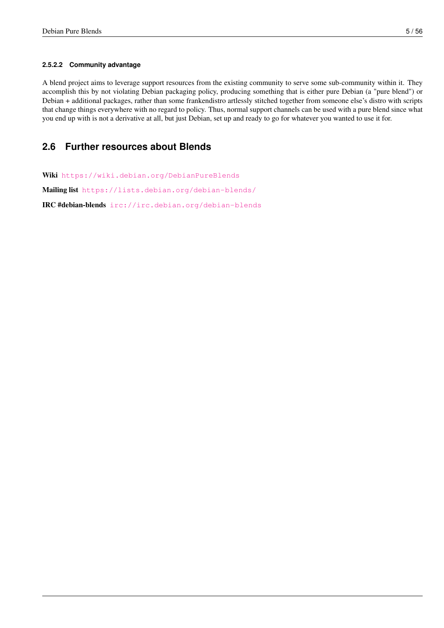#### <span id="page-11-0"></span>**2.5.2.2 Community advantage**

A blend project aims to leverage support resources from the existing community to serve some sub-community within it. They accomplish this by not violating Debian packaging policy, producing something that is either pure Debian (a "pure blend") or Debian + additional packages, rather than some frankendistro artlessly stitched together from someone else's distro with scripts that change things everywhere with no regard to policy. Thus, normal support channels can be used with a pure blend since what you end up with is not a derivative at all, but just Debian, set up and ready to go for whatever you wanted to use it for.

# <span id="page-11-1"></span>**2.6 Further resources about Blends**

Wiki <https://wiki.debian.org/DebianPureBlends>

Mailing list <https://lists.debian.org/debian-blends/>

IRC #debian-blends <irc://irc.debian.org/debian-blends>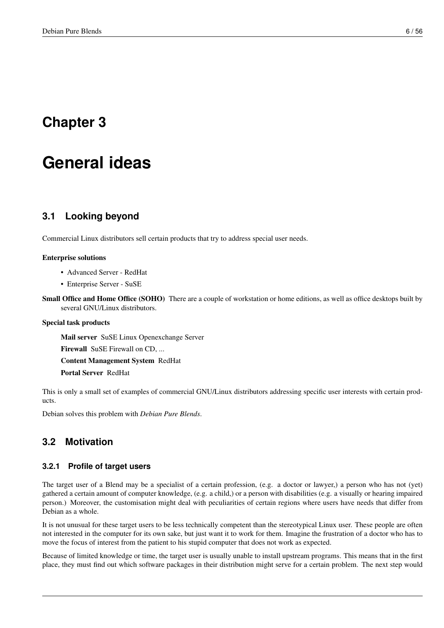# <span id="page-12-0"></span>**Chapter 3**

# **General ideas**

# <span id="page-12-1"></span>**3.1 Looking beyond**

Commercial Linux distributors sell certain products that try to address special user needs.

#### Enterprise solutions

- Advanced Server RedHat
- Enterprise Server SuSE
- Small Office and Home Office (SOHO) There are a couple of workstation or home editions, as well as office desktops built by several GNU/Linux distributors.

#### Special task products

Mail server SuSE Linux Openexchange Server

Firewall SuSE Firewall on CD, ...

Content Management System RedHat

Portal Server RedHat

This is only a small set of examples of commercial GNU/Linux distributors addressing specific user interests with certain products.

Debian solves this problem with *Debian Pure Blends*.

### <span id="page-12-2"></span>**3.2 Motivation**

#### <span id="page-12-3"></span>**3.2.1 Profile of target users**

The target user of a Blend may be a specialist of a certain profession, (e.g. a doctor or lawyer,) a person who has not (yet) gathered a certain amount of computer knowledge, (e.g. a child,) or a person with disabilities (e.g. a visually or hearing impaired person.) Moreover, the customisation might deal with peculiarities of certain regions where users have needs that differ from Debian as a whole.

It is not unusual for these target users to be less technically competent than the stereotypical Linux user. These people are often not interested in the computer for its own sake, but just want it to work for them. Imagine the frustration of a doctor who has to move the focus of interest from the patient to his stupid computer that does not work as expected.

Because of limited knowledge or time, the target user is usually unable to install upstream programs. This means that in the first place, they must find out which software packages in their distribution might serve for a certain problem. The next step would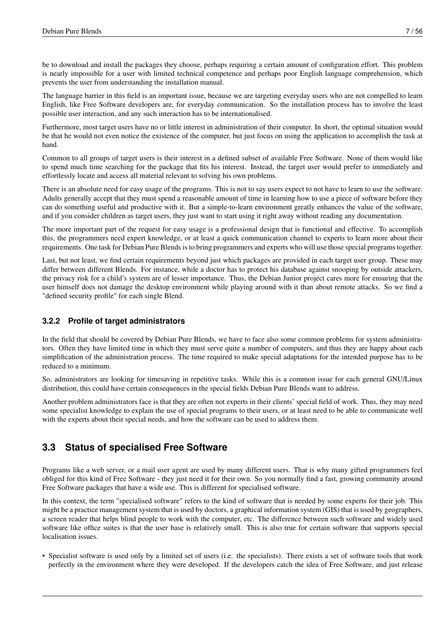be to download and install the packages they choose, perhaps requiring a certain amount of configuration effort. This problem is nearly impossible for a user with limited technical competence and perhaps poor English language comprehension, which prevents the user from understanding the installation manual.

The language barrier in this field is an important issue, because we are targeting everyday users who are not compelled to learn English, like Free Software developers are, for everyday communication. So the installation process has to involve the least possible user interaction, and any such interaction has to be internationalised.

Furthermore, most target users have no or little interest in administration of their computer. In short, the optimal situation would be that he would not even notice the existence of the computer, but just focus on using the application to accomplish the task at hand.

Common to all groups of target users is their interest in a defined subset of available Free Software. None of them would like to spend much time searching for the package that fits his interest. Instead, the target user would prefer to immediately and effortlessly locate and access all material relevant to solving his own problems.

There is an absolute need for easy usage of the programs. This is not to say users expect to not have to learn to use the software. Adults generally accept that they must spend a reasonable amount of time in learning how to use a piece of software before they can do something useful and productive with it. But a simple-to-learn environment greatly enhances the value of the software, and if you consider children as target users, they just want to start using it right away without reading any documentation.

The more important part of the request for easy usage is a professional design that is functional and effective. To accomplish this, the programmers need expert knowledge, or at least a quick communication channel to experts to learn more about their requirements. One task for Debian Pure Blends is to bring programmers and experts who will use those special programs together.

Last, but not least, we find certain requirements beyond just which packages are provided in each target user group. These may differ between different Blends. For instance, while a doctor has to protect his database against snooping by outside attackers, the privacy risk for a child's system are of lesser importance. Thus, the Debian Junior project cares more for ensuring that the user himself does not damage the desktop environment while playing around with it than about remote attacks. So we find a "defined security profile" for each single Blend.

#### <span id="page-13-0"></span>**3.2.2 Profile of target administrators**

In the field that should be covered by Debian Pure Blends, we have to face also some common problems for system administrators. Often they have limited time in which they must serve quite a number of computers, and thus they are happy about each simplification of the administration process. The time required to make special adaptations for the intended purpose has to be reduced to a minimum.

So, administrators are looking for timesaving in repetitive tasks. While this is a common issue for each general GNU/Linux distribution, this could have certain consequences in the special fields Debian Pure Blends want to address.

Another problem administrators face is that they are often not experts in their clients' special field of work. Thus, they may need some specialist knowledge to explain the use of special programs to their users, or at least need to be able to communicate well with the experts about their special needs, and how the software can be used to address them.

# <span id="page-13-1"></span>**3.3 Status of specialised Free Software**

Programs like a web server, or a mail user agent are used by many different users. That is why many gifted programmers feel obliged for this kind of Free Software - they just need it for their own. So you normally find a fast, growing community around Free Software packages that have a wide use. This is different for specialised software.

In this context, the term "specialised software" refers to the kind of software that is needed by some experts for their job. This might be a practice management system that is used by doctors, a graphical information system (GIS) that is used by geographers, a screen reader that helps blind people to work with the computer, etc. The difference between such software and widely used software like office suites is that the user base is relatively small. This is also true for certain software that supports special localisation issues.

• Specialist software is used only by a limited set of users (i.e. the specialists). There exists a set of software tools that work perfectly in the environment where they were developed. If the developers catch the idea of Free Software, and just release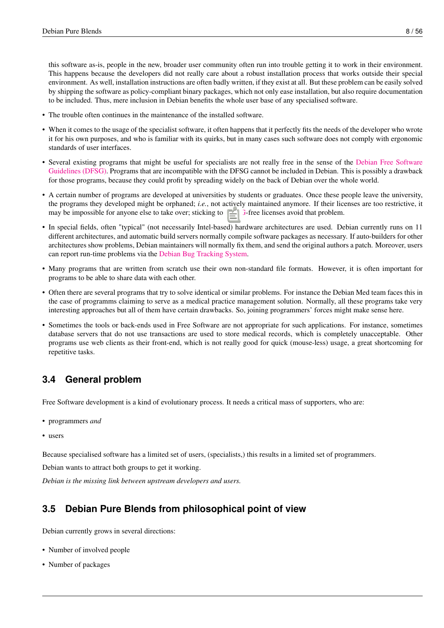this software as-is, people in the new, broader user community often run into trouble getting it to work in their environment. This happens because the developers did not really care about a robust installation process that works outside their special environment. As well, installation instructions are often badly written, if they exist at all. But these problem can be easily solved by shipping the software as policy-compliant binary packages, which not only ease installation, but also require documentation to be included. Thus, mere inclusion in Debian benefits the whole user base of any specialised software.

- The trouble often continues in the maintenance of the installed software.
- When it comes to the usage of the specialist software, it often happens that it perfectly fits the needs of the developer who wrote it for his own purposes, and who is familiar with its quirks, but in many cases such software does not comply with ergonomic standards of user interfaces.
- Several existing programs that might be useful for specialists are not really free in the sense of the [Debian Free Software](http://www.debian.org/social_contract#guidelines) [Guidelines \(DFSG\).](http://www.debian.org/social_contract#guidelines) Programs that are incompatible with the DFSG cannot be included in Debian. This is possibly a drawback for those programs, because they could profit by spreading widely on the back of Debian over the whole world.
- A certain number of programs are developed at universities by students or graduates. Once these people leave the university, the programs they developed might be orphaned; *i.e.*, not actively maintained anymore. If their licenses are too restrictive, it may be impossible for anyone else to take over; sticking to [DFSG-](http://www.debian.org/social_contract#guidelines)free licenses avoid that problem.
- In special fields, often "typical" (not necessarily Intel-based) hardware architectures are used. Debian currently runs on 11 different architectures, and automatic build servers normally compile software packages as necessary. If auto-builders for other architectures show problems, Debian maintainers will normally fix them, and send the original authors a patch. Moreover, users can report run-time problems via the [Debian Bug Tracking System.](http://www.debian.org/Bugs/)
- Many programs that are written from scratch use their own non-standard file formats. However, it is often important for programs to be able to share data with each other.
- Often there are several programs that try to solve identical or similar problems. For instance the Debian Med team faces this in the case of programms claiming to serve as a medical practice management solution. Normally, all these programs take very interesting approaches but all of them have certain drawbacks. So, joining programmers' forces might make sense here.
- Sometimes the tools or back-ends used in Free Software are not appropriate for such applications. For instance, sometimes database servers that do not use transactions are used to store medical records, which is completely unacceptable. Other programs use web clients as their front-end, which is not really good for quick (mouse-less) usage, a great shortcoming for repetitive tasks.

# <span id="page-14-0"></span>**3.4 General problem**

Free Software development is a kind of evolutionary process. It needs a critical mass of supporters, who are:

- programmers *and*
- users

Because specialised software has a limited set of users, (specialists,) this results in a limited set of programmers.

Debian wants to attract both groups to get it working.

*Debian is the missing link between upstream developers and users.*

# <span id="page-14-1"></span>**3.5 Debian Pure Blends from philosophical point of view**

Debian currently grows in several directions:

- Number of involved people
- Number of packages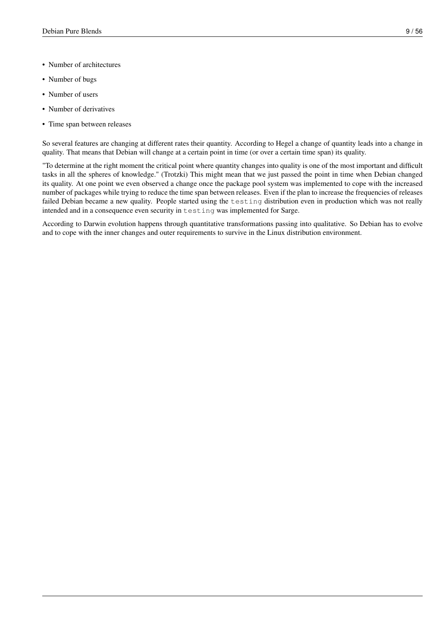- Number of architectures
- Number of bugs
- Number of users
- Number of derivatives
- Time span between releases

So several features are changing at different rates their quantity. According to Hegel a change of quantity leads into a change in quality. That means that Debian will change at a certain point in time (or over a certain time span) its quality.

"To determine at the right moment the critical point where quantity changes into quality is one of the most important and difficult tasks in all the spheres of knowledge." (Trotzki) This might mean that we just passed the point in time when Debian changed its quality. At one point we even observed a change once the package pool system was implemented to cope with the increased number of packages while trying to reduce the time span between releases. Even if the plan to increase the frequencies of releases failed Debian became a new quality. People started using the testing distribution even in production which was not really intended and in a consequence even security in testing was implemented for Sarge.

According to Darwin evolution happens through quantitative transformations passing into qualitative. So Debian has to evolve and to cope with the inner changes and outer requirements to survive in the Linux distribution environment.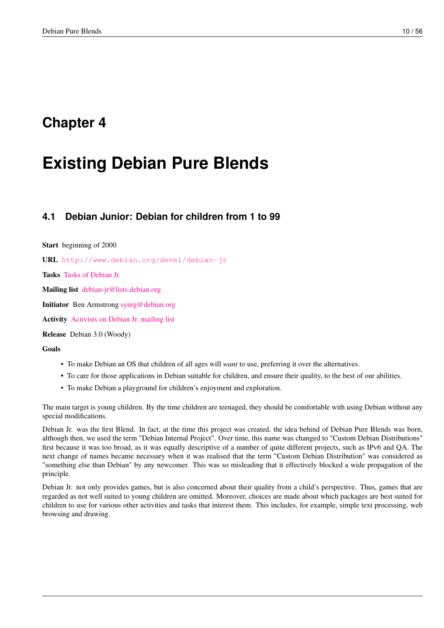# <span id="page-16-0"></span>**Chapter 4**

# **Existing Debian Pure Blends**

### <span id="page-16-1"></span>**4.1 Debian Junior: Debian for children from 1 to 99**

Start beginning of 2000

URL <http://www.debian.org/devel/debian-jr>

Tasks [Tasks of Debian Jr.](http://blends.debian.org/junior/tasks)

Mailing list [debian-jr@lists.debian.org](http://lists.debian.org/debian-jr/)

Initiator Ben Armstrong [synrg@debian.org](mailto:synrg@debian.org)

Activity [Activists on Debian Jr. mailing list](http://blends.debian.net/liststats/authorstat_debian-jr.png)

Release Debian 3.0 (Woody)

#### Goals

- To make Debian an OS that children of all ages will *want* to use, preferring it over the alternatives.
- To care for those applications in Debian suitable for children, and ensure their quality, to the best of our abilities.
- To make Debian a playground for children's enjoyment and exploration.

The main target is young children. By the time children are teenaged, they should be comfortable with using Debian without any special modifications.

Debian Jr. was the first Blend. In fact, at the time this project was created, the idea behind of Debian Pure Blends was born, although then, we used the term "Debian Internal Project". Over time, this name was changed to "Custom Debian Distributions" first because it was too broad, as it was equally descriptive of a number of quite different projects, such as IPv6 and QA. The next change of names became necessary when it was realised that the term "Custom Debian Distribution" was considered as "something else than Debian" by any newcomer. This was so misleading that it effectively blocked a wide propagation of the principle.

Debian Jr. not only provides games, but is also concerned about their quality from a child's perspective. Thus, games that are regarded as not well suited to young children are omitted. Moreover, choices are made about which packages are best suited for children to use for various other activities and tasks that interest them. This includes, for example, simple text processing, web browsing and drawing.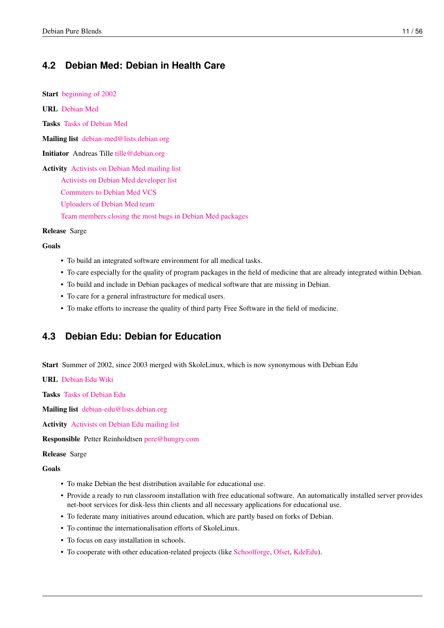# <span id="page-17-0"></span>**4.2 Debian Med: Debian in Health Care**

Start [beginning of 2002](http://lists.debian.org/debian-devel/2002/01/msg01730.html)

URL [Debian Med](http://www.debian.org/devel/debian-med)

Tasks [Tasks of Debian Med](http://blends.debian.org/med/tasks)

Mailing list [debian-med@lists.debian.org](http://lists.debian.org/debian-med/)

Initiator Andreas Tille [tille@debian.org](mailto:tille@debian.org)

Activity [Activists on Debian Med mailing list](http://blends.debian.net/liststats/authorstat_debian-med.png)

[Activists on Debian Med developer list](http://blends.debian.net/liststats/authorstat_debian-med-packaging.png)

[Commiters to Debian Med VCS](http://blends.debian.net/liststats/commitstat_debian-med.png)

[Uploaders of Debian Med team](http://blends.debian.net/liststats/uploaders_debian-med.png)

[Team members closing the most bugs in Debian Med packages](http://blends.debian.net/liststats/bugs_debian-med.png)

#### Release Sarge

Goals

- To build an integrated software environment for all medical tasks.
- To care especially for the quality of program packages in the field of medicine that are already integrated within Debian.
- To build and include in Debian packages of medical software that are missing in Debian.
- To care for a general infrastructure for medical users.
- To make efforts to increase the quality of third party Free Software in the field of medicine.

# <span id="page-17-1"></span>**4.3 Debian Edu: Debian for Education**

Start Summer of 2002, since 2003 merged with SkoleLinux, which is now synonymous with Debian Edu

URL [Debian Edu Wiki](http://wiki.debian.org/DebianEdu)

Tasks [Tasks of Debian Edu](http://blends.debian.org/edu/tasks)

Mailing list [debian-edu@lists.debian.org](http://lists.debian.org/debian-edu/)

Activity [Activists on Debian Edu mailing list](http://blends.debian.net/liststats/authorstat_debian-edu.png)

Responsible Petter Reinholdtsen [pere@hungry.com](mailto:pere@hungry.com)

Release Sarge

Goals

- To make Debian the best distribution available for educational use.
- Provide a ready to run classroom installation with free educational software. An automatically installed server provides net-boot services for disk-less thin clients and all necessary applications for educational use.
- To federate many initiatives around education, which are partly based on forks of Debian.
- To continue the internationalisation efforts of SkoleLinux.
- To focus on easy installation in schools.
- To cooperate with other education-related projects (like [Schoolforge,](http://schoolforge.net/) [Ofset,](http://www.ofset.org/) [KdeEdu\)](http://edu.kde.org/).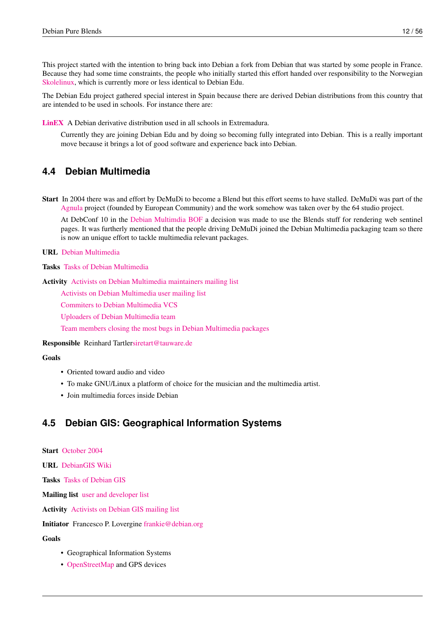This project started with the intention to bring back into Debian a fork from Debian that was started by some people in France. Because they had some time constraints, the people who initially started this effort handed over responsibility to the Norwegian [Skolelinux,](http://www.skolelinux.org) which is currently more or less identical to Debian Edu.

The Debian Edu project gathered special interest in Spain because there are derived Debian distributions from this country that are intended to be used in schools. For instance there are:

[LinEX](http://www.linex.org/) A Debian derivative distribution used in all schools in Extremadura.

Currently they are joining Debian Edu and by doing so becoming fully integrated into Debian. This is a really important move because it brings a lot of good software and experience back into Debian.

# <span id="page-18-0"></span>**4.4 Debian Multimedia**

Start In 2004 there was and effort by DeMuDi to become a Blend but this effort seems to have stalled. DeMuDi was part of the [Agnula](http://www.agnula.org/) project (founded by European Community) and the work somehow was taken over by the 64 studio project.

At DebConf 10 in the [Debian Multimdia BOF](http://penta.debconf.org/dc10_schedule/events/670.en.html) a decision was made to use the Blends stuff for rendering web sentinel pages. It was furtherly mentioned that the people driving DeMuDi joined the Debian Multimedia packaging team so there is now an unique effort to tackle multimedia relevant packages.

URL [Debian Multimedia](http://wiki.debian.org/DebianMultimedia)

Tasks [Tasks of Debian Multimedia](http://blends.debian.org/multimedia/tasks)

Activity [Activists on Debian Multimedia maintainers mailing list](http://blends.debian.net/liststats/authorstat_pkg-multimedia-maintainers.png)

[Activists on Debian Multimedia user mailing list](http://blends.debian.net/liststats/authorstat_debian-multimedia.png)

[Commiters to Debian Multimedia VCS](http://blends.debian.net/liststats/commitstat_pkg-multimedia.png)

[Uploaders of Debian Multimedia team](http://blends.debian.net/liststats/uploaders_pkg-multimedia.png)

[Team members closing the most bugs in Debian Multimedia packages](http://blends.debian.net/liststats/bugs_pkg-multimedia.png)

Responsible Reinhard Tartle[rsiretart@tauware.de](mailto:siretart@tauware.de)

#### Goals

- Oriented toward audio and video
- To make GNU/Linux a platform of choice for the musician and the multimedia artist.
- Join multimedia forces inside Debian

# <span id="page-18-1"></span>**4.5 Debian GIS: Geographical Information Systems**

Start [October 2004](http://lists.debian.org/debian-devel-announce/2004/10/msg00007.html) URL [DebianGIS Wiki](http://wiki.debian.org/DebianGis) Tasks [Tasks of Debian GIS](http://blends.debian.org/gis/tasks) Mailing list [user and developer list](http://wiki.debian.org/DebianGis/MailingLists) Activity [Activists on Debian GIS mailing list](http://blends.debian.net/liststats/authorstat_debian-gis.png) Initiator Francesco P. Lovergine [frankie@debian.org](mailto:frankie@debian.org) Goals

- Geographical Information Systems
- [OpenStreetMap](http://www.openstreetmap.org) and GPS devices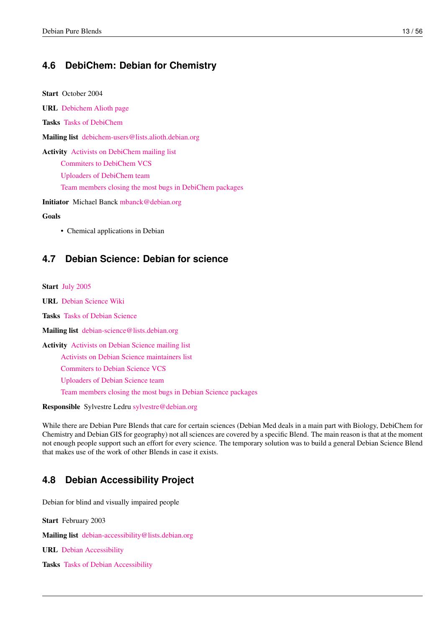# <span id="page-19-0"></span>**4.6 DebiChem: Debian for Chemistry**

Start October 2004

URL [Debichem Alioth page](http://alioth.debian.org/projects/debichem/)

Tasks [Tasks of DebiChem](http://blends.debian.org/debichem/tasks)

Mailing list [debichem-users@lists.alioth.debian.org](http://lists.alioth.debian.org/mailman/listinfo/debichem-users)

Activity [Activists on DebiChem mailing list](http://blends.debian.net/liststats/authorstat_debichem-devel.png) [Commiters to DebiChem VCS](http://blends.debian.net/liststats/commitstat_debichem.png) [Uploaders of DebiChem team](http://blends.debian.net/liststats/uploaders_debichem.png) [Team members closing the most bugs in DebiChem packages](http://blends.debian.net/liststats/bugs_debichem.png)

Initiator Michael Banck [mbanck@debian.org](mailto:mbanck@debian.org)

#### Goals

• Chemical applications in Debian

# <span id="page-19-1"></span>**4.7 Debian Science: Debian for science**

Start [July 2005](http://lists.debian.org/debian-devel/2005/07/msg01555.html)

URL [Debian Science Wiki](http://wiki.debian.org/DebianScience)

Tasks [Tasks of Debian Science](http://blends.debian.org/science/tasks)

Mailing list [debian-science@lists.debian.org](http://lists.debian.org/debian-science/)

Activity [Activists on Debian Science mailing list](http://blends.debian.net/liststats/authorstat_debian-science.png) [Activists on Debian Science maintainers list](http://blends.debian.net/liststats/authorstat_debian-science-maintainers.png) [Commiters to Debian Science VCS](http://blends.debian.net/liststats/commitstat_debian-science.png) [Uploaders of Debian Science team](http://blends.debian.net/liststats/uploaders_debian-science.png) [Team members closing the most bugs in Debian Science packages](http://blends.debian.net/liststats/bugs_debian-science.png)

Responsible Sylvestre Ledru [sylvestre@debian.org](mailto:sylvestre@debian.org)

While there are Debian Pure Blends that care for certain sciences (Debian Med deals in a main part with Biology, DebiChem for Chemistry and Debian GIS for geography) not all sciences are covered by a specific Blend. The main reason is that at the moment not enough people support such an effort for every science. The temporary solution was to build a general Debian Science Blend that makes use of the work of other Blends in case it exists.

# <span id="page-19-2"></span>**4.8 Debian Accessibility Project**

Debian for blind and visually impaired people

Start February 2003 Mailing list [debian-accessibility@lists.debian.org](http://lists.debian.org/debian-accessibility/) URL [Debian Accessibility](http://www.debian.org/devel/debian-accessibility/)

Tasks [Tasks of Debian Accessibility](http://blends.debian.org/accessibility/tasks)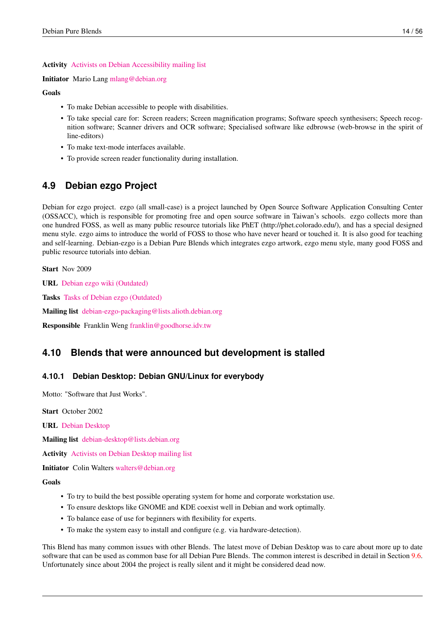Activity [Activists on Debian Accessibility mailing list](http://blends.debian.net/liststats/authorstat_debian-accessibility.png)

Initiator Mario Lang [mlang@debian.org](mailto:mlang@debian.org)

Goals

- To make Debian accessible to people with disabilities.
- To take special care for: Screen readers; Screen magnification programs; Software speech synthesisers; Speech recognition software; Scanner drivers and OCR software; Specialised software like edbrowse (web-browse in the spirit of line-editors)
- To make text-mode interfaces available.
- To provide screen reader functionality during installation.

# <span id="page-20-0"></span>**4.9 Debian ezgo Project**

Debian for ezgo project. ezgo (all small-case) is a project launched by Open Source Software Application Consulting Center (OSSACC), which is responsible for promoting free and open source software in Taiwan's schools. ezgo collects more than one hundred FOSS, as well as many public resource tutorials like PhET (http://phet.colorado.edu/), and has a special designed menu style. ezgo aims to introduce the world of FOSS to those who have never heard or touched it. It is also good for teaching and self-learning. Debian-ezgo is a Debian Pure Blends which integrates ezgo artwork, ezgo menu style, many good FOSS and public resource tutorials into debian.

Start Nov 2009

URL [Debian ezgo wiki \(Outdated\)](https://wiki.debian.org/DebianEzGo)

Tasks [Tasks of Debian ezgo \(Outdated\)](http://blends.debian.org/ezgo/tasks/)

Mailing list [debian-ezgo-packaging@lists.alioth.debian.org](https://alioth.debian.org/mail/?group_id=100426)

Responsible Franklin Weng [franklin@goodhorse.idv.tw](mailto:franklin@goodhorse.idv.tw)

# <span id="page-20-1"></span>**4.10 Blends that were announced but development is stalled**

#### <span id="page-20-2"></span>**4.10.1 Debian Desktop: Debian GNU/Linux for everybody**

Motto: "Software that Just Works".

Start October 2002

URL [Debian Desktop](http://www.debian.org/devel/debian-desktop)

Mailing list [debian-desktop@lists.debian.org](http://lists.debian.org/debian-desktop/)

Activity [Activists on Debian Desktop mailing list](http://blends.debian.net/liststats/authorstat_debian-desktop.png)

Initiator Colin Walters [walters@debian.org](mailto:walters@debian.org)

Goals

- To try to build the best possible operating system for home and corporate workstation use.
- To ensure desktops like GNOME and KDE coexist well in Debian and work optimally.
- To balance ease of use for beginners with flexibility for experts.
- To make the system easy to install and configure (e.g. via hardware-detection).

This Blend has many common issues with other Blends. The latest move of Debian Desktop was to care about more up to date software that can be used as common base for all Debian Pure Blends. The common interest is described in detail in Section [9.6.](#page-45-2) Unfortunately since about 2004 the project is really silent and it might be considered dead now.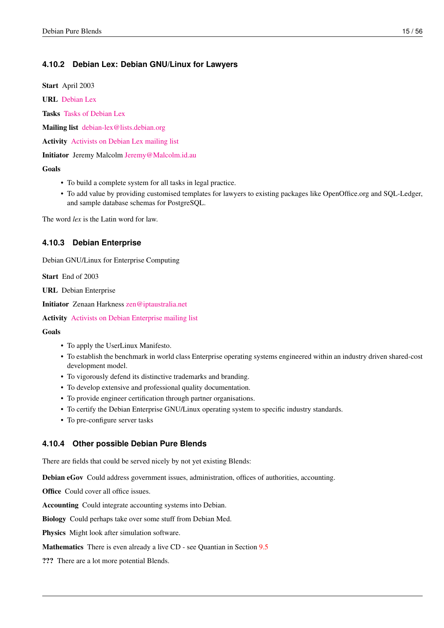#### <span id="page-21-0"></span>**4.10.2 Debian Lex: Debian GNU/Linux for Lawyers**

Start April 2003

URL [Debian Lex](http://www.debian.org/devel/debian-lex)

Tasks [Tasks of Debian Lex](http://blends.debian.org/lex/tasks)

Mailing list [debian-lex@lists.debian.org](http://lists.debian.org/debian-lex/)

Activity [Activists on Debian Lex mailing list](http://blends.debian.net/liststats/authorstat_debian-lex.png)

Initiator Jeremy Malcolm [Jeremy@Malcolm.id.au](mailto:Jeremy@Malcolm.id.au)

Goals

- To build a complete system for all tasks in legal practice.
- To add value by providing customised templates for lawyers to existing packages like OpenOffice.org and SQL-Ledger, and sample database schemas for PostgreSQL.

The word *lex* is the Latin word for law.

#### <span id="page-21-1"></span>**4.10.3 Debian Enterprise**

Debian GNU/Linux for Enterprise Computing

Start End of 2003

URL Debian Enterprise

Initiator Zenaan Harkness [zen@iptaustralia.net](mailto:zen@iptaustralia.net)

Activity [Activists on Debian Enterprise mailing list](http://blends.debian.net/liststats/authorstat_debian-enterprise.png)

Goals

- To apply the UserLinux Manifesto.
- To establish the benchmark in world class Enterprise operating systems engineered within an industry driven shared-cost development model.
- To vigorously defend its distinctive trademarks and branding.
- To develop extensive and professional quality documentation.
- To provide engineer certification through partner organisations.
- To certify the Debian Enterprise GNU/Linux operating system to specific industry standards.
- To pre-configure server tasks

#### <span id="page-21-2"></span>**4.10.4 Other possible Debian Pure Blends**

There are fields that could be served nicely by not yet existing Blends:

Debian eGov Could address government issues, administration, offices of authorities, accounting.

Office Could cover all office issues.

Accounting Could integrate accounting systems into Debian.

Biology Could perhaps take over some stuff from Debian Med.

Physics Might look after simulation software.

Mathematics There is even already a live CD - see Quantian in Section [9.5](#page-45-1)

??? There are a lot more potential Blends.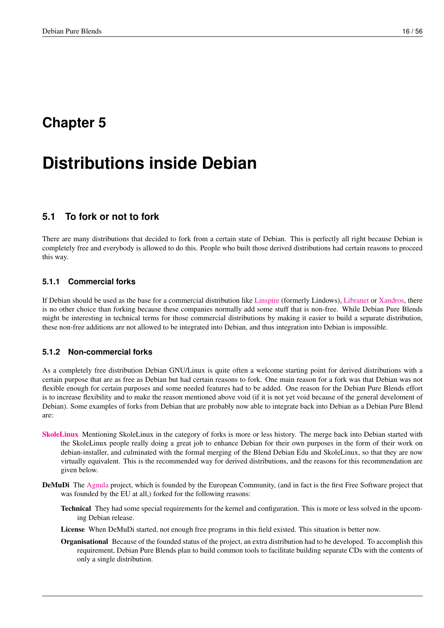# <span id="page-22-0"></span>**Chapter 5**

# **Distributions inside Debian**

# <span id="page-22-1"></span>**5.1 To fork or not to fork**

There are many distributions that decided to fork from a certain state of Debian. This is perfectly all right because Debian is completely free and everybody is allowed to do this. People who built those derived distributions had certain reasons to proceed this way.

#### <span id="page-22-2"></span>**5.1.1 Commercial forks**

If Debian should be used as the base for a commercial distribution like [Linspire](http://www.linspire.com/) (formerly Lindows), [Libranet](http://www.libranet.com/) or [Xandros,](http://www.xandros.com/) there is no other choice than forking because these companies normally add some stuff that is non-free. While Debian Pure Blends might be interesting in technical terms for those commercial distributions by making it easier to build a separate distribution, these non-free additions are not allowed to be integrated into Debian, and thus integration into Debian is impossible.

#### <span id="page-22-3"></span>**5.1.2 Non-commercial forks**

As a completely free distribution Debian GNU/Linux is quite often a welcome starting point for derived distributions with a certain purpose that are as free as Debian but had certain reasons to fork. One main reason for a fork was that Debian was not flexible enough for certain purposes and some needed features had to be added. One reason for the Debian Pure Blends effort is to increase flexibility and to make the reason mentioned above void (if it is not yet void because of the general develoment of Debian). Some examples of forks from Debian that are probably now able to integrate back into Debian as a Debian Pure Blend are:

- [SkoleLinux](http://www.skolelinux.org) Mentioning SkoleLinux in the category of forks is more or less history. The merge back into Debian started with the SkoleLinux people really doing a great job to enhance Debian for their own purposes in the form of their work on debian-installer, and culminated with the formal merging of the Blend Debian Edu and SkoleLinux, so that they are now virtually equivalent. This is the recommended way for derived distributions, and the reasons for this recommendation are given below.
- DeMuDi The [Agnula](http://www.agnula.org/) project, which is founded by the European Community, (and in fact is the first Free Software project that was founded by the EU at all,) forked for the following reasons:
	- Technical They had some special requirements for the kernel and configuration. This is more or less solved in the upcoming Debian release.
	- License When DeMuDi started, not enough free programs in this field existed. This situation is better now.
	- Organisational Because of the founded status of the project, an extra distribution had to be developed. To accomplish this requirement, Debian Pure Blends plan to build common tools to facilitate building separate CDs with the contents of only a single distribution.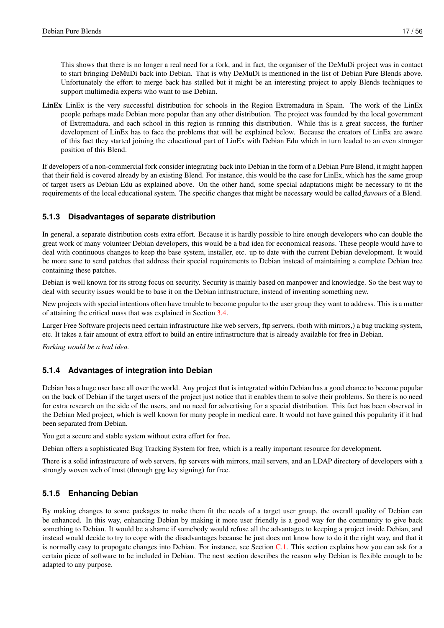This shows that there is no longer a real need for a fork, and in fact, the organiser of the DeMuDi project was in contact to start bringing DeMuDi back into Debian. That is why DeMuDi is mentioned in the list of Debian Pure Blends above. Unfortunately the effort to merge back has stalled but it might be an interesting project to apply Blends techniques to support multimedia experts who want to use Debian.

LinEx LinEx is the very successful distribution for schools in the Region Extremadura in Spain. The work of the LinEx people perhaps made Debian more popular than any other distribution. The project was founded by the local government of Extremadura, and each school in this region is running this distribution. While this is a great success, the further development of LinEx has to face the problems that will be explained below. Because the creators of LinEx are aware of this fact they started joining the educational part of LinEx with Debian Edu which in turn leaded to an even stronger position of this Blend.

If developers of a non-commercial fork consider integrating back into Debian in the form of a Debian Pure Blend, it might happen that their field is covered already by an existing Blend. For instance, this would be the case for LinEx, which has the same group of target users as Debian Edu as explained above. On the other hand, some special adaptations might be necessary to fit the requirements of the local educational system. The specific changes that might be necessary would be called *flavours* of a Blend.

#### <span id="page-23-0"></span>**5.1.3 Disadvantages of separate distribution**

In general, a separate distribution costs extra effort. Because it is hardly possible to hire enough developers who can double the great work of many volunteer Debian developers, this would be a bad idea for economical reasons. These people would have to deal with continuous changes to keep the base system, installer, etc. up to date with the current Debian development. It would be more sane to send patches that address their special requirements to Debian instead of maintaining a complete Debian tree containing these patches.

Debian is well known for its strong focus on security. Security is mainly based on manpower and knowledge. So the best way to deal with security issues would be to base it on the Debian infrastructure, instead of inventing something new.

New projects with special intentions often have trouble to become popular to the user group they want to address. This is a matter of attaining the critical mass that was explained in Section [3.4.](#page-14-0)

Larger Free Software projects need certain infrastructure like web servers, ftp servers, (both with mirrors,) a bug tracking system, etc. It takes a fair amount of extra effort to build an entire infrastructure that is already available for free in Debian.

*Forking would be a bad idea.*

#### <span id="page-23-1"></span>**5.1.4 Advantages of integration into Debian**

Debian has a huge user base all over the world. Any project that is integrated within Debian has a good chance to become popular on the back of Debian if the target users of the project just notice that it enables them to solve their problems. So there is no need for extra research on the side of the users, and no need for advertising for a special distribution. This fact has been observed in the Debian Med project, which is well known for many people in medical care. It would not have gained this popularity if it had been separated from Debian.

You get a secure and stable system without extra effort for free.

Debian offers a sophisticated Bug Tracking System for free, which is a really important resource for development.

There is a solid infrastructure of web servers, ftp servers with mirrors, mail servers, and an LDAP directory of developers with a strongly woven web of trust (through gpg key signing) for free.

#### <span id="page-23-2"></span>**5.1.5 Enhancing Debian**

By making changes to some packages to make them fit the needs of a target user group, the overall quality of Debian can be enhanced. In this way, enhancing Debian by making it more user friendly is a good way for the community to give back something to Debian. It would be a shame if somebody would refuse all the advantages to keeping a project inside Debian, and instead would decide to try to cope with the disadvantages because he just does not know how to do it the right way, and that it is normally easy to propogate changes into Debian. For instance, see Section [C.1.](#page-59-1) This section explains how you can ask for a certain piece of software to be included in Debian. The next section describes the reason why Debian is flexible enough to be adapted to any purpose.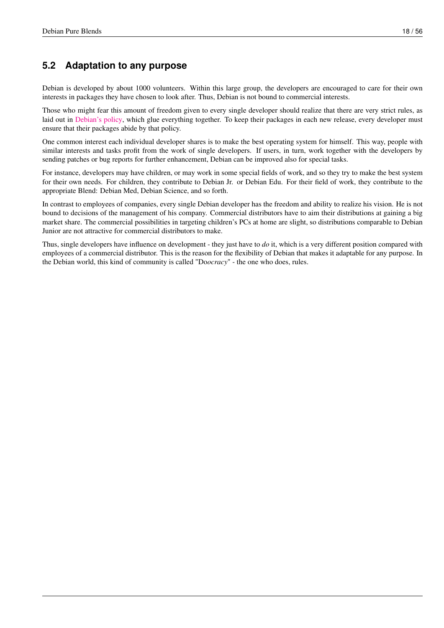# <span id="page-24-0"></span>**5.2 Adaptation to any purpose**

Debian is developed by about 1000 volunteers. Within this large group, the developers are encouraged to care for their own interests in packages they have chosen to look after. Thus, Debian is not bound to commercial interests.

Those who might fear this amount of freedom given to every single developer should realize that there are very strict rules, as laid out in [Debian's policy,](http://www.debian.org/doc/debian-policy/) which glue everything together. To keep their packages in each new release, every developer must ensure that their packages abide by that policy.

One common interest each individual developer shares is to make the best operating system for himself. This way, people with similar interests and tasks profit from the work of single developers. If users, in turn, work together with the developers by sending patches or bug reports for further enhancement, Debian can be improved also for special tasks.

For instance, developers may have children, or may work in some special fields of work, and so they try to make the best system for their own needs. For children, they contribute to Debian Jr. or Debian Edu. For their field of work, they contribute to the appropriate Blend: Debian Med, Debian Science, and so forth.

In contrast to employees of companies, every single Debian developer has the freedom and ability to realize his vision. He is not bound to decisions of the management of his company. Commercial distributors have to aim their distributions at gaining a big market share. The commercial possibilities in targeting children's PCs at home are slight, so distributions comparable to Debian Junior are not attractive for commercial distributors to make.

Thus, single developers have influence on development - they just have to *do* it, which is a very different position compared with employees of a commercial distributor. This is the reason for the flexibility of Debian that makes it adaptable for any purpose. In the Debian world, this kind of community is called "Do*ocracy*" - the one who does, rules.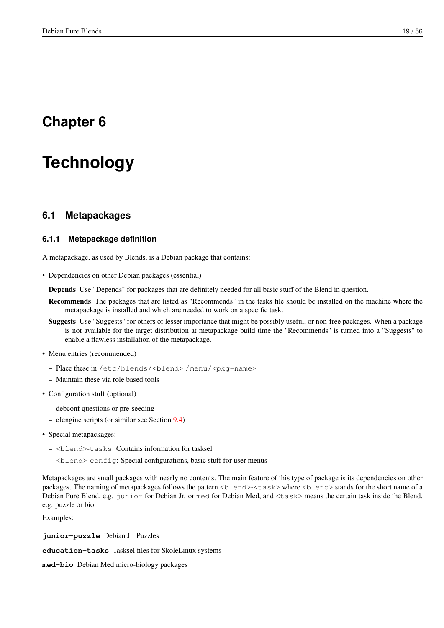# <span id="page-25-0"></span>**Chapter 6**

# **Technology**

### <span id="page-25-1"></span>**6.1 Metapackages**

#### <span id="page-25-2"></span>**6.1.1 Metapackage definition**

A metapackage, as used by Blends, is a Debian package that contains:

• Dependencies on other Debian packages (essential)

Depends Use "Depends" for packages that are definitely needed for all basic stuff of the Blend in question.

- Recommends The packages that are listed as "Recommends" in the tasks file should be installed on the machine where the metapackage is installed and which are needed to work on a specific task.
- Suggests Use "Suggests" for others of lesser importance that might be possibly useful, or non-free packages. When a package is not available for the target distribution at metapackage build time the "Recommends" is turned into a "Suggests" to enable a flawless installation of the metapackage.
- Menu entries (recommended)
	- Place these in /etc/blends/<blend> /menu/<pkg-name>
	- Maintain these via role based tools
- Configuration stuff (optional)
	- debconf questions or pre-seeding
	- cfengine scripts (or similar see Section [9.4\)](#page-45-0)
- Special metapackages:
	- <blend>-tasks: Contains information for tasksel
	- <blend>-config: Special configurations, basic stuff for user menus

Metapackages are small packages with nearly no contents. The main feature of this type of package is its dependencies on other packages. The naming of metapackages follows the pattern <blend>-<task> where <blend> stands for the short name of a Debian Pure Blend, e.g. junior for Debian Jr. or med for Debian Med, and <task> means the certain task inside the Blend, e.g. puzzle or bio.

Examples:

**junior-puzzle** Debian Jr. Puzzles

**education-tasks** Tasksel files for SkoleLinux systems

**med-bio** Debian Med micro-biology packages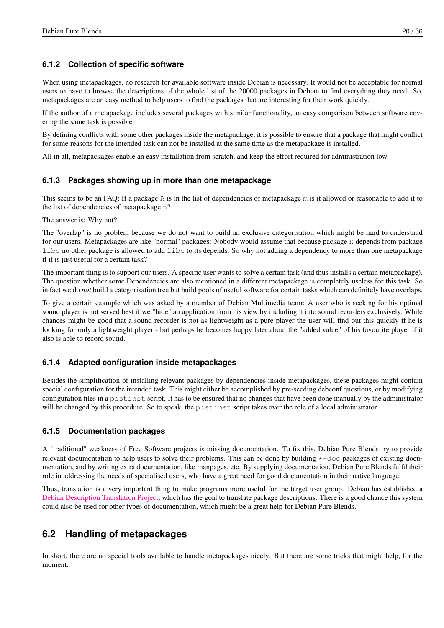#### <span id="page-26-0"></span>**6.1.2 Collection of specific software**

When using metapackages, no research for available software inside Debian is necessary. It would not be acceptable for normal users to have to browse the descriptions of the whole list of the 20000 packages in Debian to find everything they need. So, metapackages are an easy method to help users to find the packages that are interesting for their work quickly.

If the author of a metapackage includes several packages with similar functionality, an easy comparison between software covering the same task is possible.

By defining conflicts with some other packages inside the metapackage, it is possible to ensure that a package that might conflict for some reasons for the intended task can not be installed at the same time as the metapackage is installed.

All in all, metapackages enable an easy installation from scratch, and keep the effort required for administration low.

#### <span id="page-26-1"></span>**6.1.3 Packages showing up in more than one metapackage**

This seems to be an FAQ: If a package A is in the list of dependencies of metapackage m is it allowed or reasonable to add it to the list of dependencies of metapackage n?

The answer is: Why not?

The "overlap" is no problem because we do not want to build an exclusive categorisation which might be hard to understand for our users. Metapackages are like "normal" packages: Nobody would assume that because package  $x$  depends from package libc no other package is allowed to add libc to its depends. So why not adding a dependency to more than one metapackage if it is just useful for a certain task?

The important thing is to support our users. A specific user wants to solve a certain task (and thus installs a certain metapackage). The question whether some Dependencies are also mentioned in a different metapackage is completely useless for this task. So in fact we do *not* build a categorisation tree but build pools of useful software for certain tasks which can definitely have overlaps.

To give a certain example which was asked by a member of Debian Multimedia team: A user who is seeking for his optimal sound player is not served best if we "hide" an application from his view by including it into sound recorders exclusively. While chances might be good that a sound recorder is not as lightweight as a pure player the user will find out this quickly if he is looking for only a lightweight player - but perhaps he becomes happy later about the "added value" of his favourite player if it also is able to record sound.

#### <span id="page-26-2"></span>**6.1.4 Adapted configuration inside metapackages**

Besides the simplification of installing relevant packages by dependencies inside metapackages, these packages might contain special configuration for the intended task. This might either be accomplished by pre-seeding debconf questions, or by modifying configuration files in a postinst script. It has to be ensured that no changes that have been done manually by the administrator will be changed by this procedure. So to speak, the postinst script takes over the role of a local administrator.

#### <span id="page-26-3"></span>**6.1.5 Documentation packages**

A "traditional" weakness of Free Software projects is missing documentation. To fix this, Debian Pure Blends try to provide relevant documentation to help users to solve their problems. This can be done by building  $\star$ -doc packages of existing documentation, and by writing extra documentation, like manpages, etc. By supplying documentation, Debian Pure Blends fulfil their role in addressing the needs of specialised users, who have a great need for good documentation in their native language.

Thus, translation is a very important thing to make programs more useful for the target user group. Debian has established a [Debian Description Translation Project,](http://ddtp.debian.net/) which has the goal to translate package descriptions. There is a good chance this system could also be used for other types of documentation, which might be a great help for Debian Pure Blends.

### <span id="page-26-4"></span>**6.2 Handling of metapackages**

In short, there are no special tools available to handle metapackages nicely. But there are some tricks that might help, for the moment.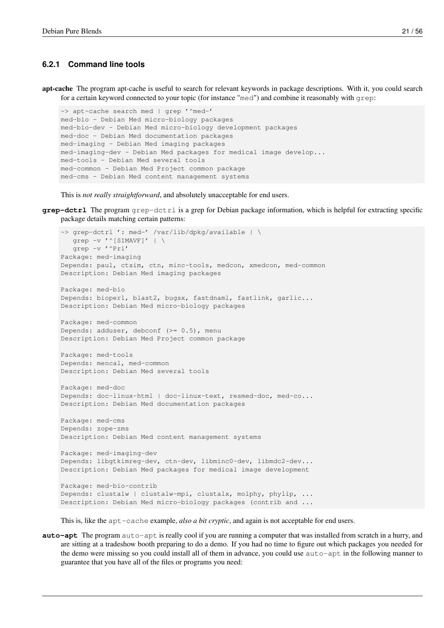#### <span id="page-27-0"></span>**6.2.1 Command line tools**

```
apt-cache The program apt-cache is useful to search for relevant keywords in package descriptions. With it, you could search
      for a certain keyword connected to your topic (for instance "med") and combine it reasonably with grep:
```

```
~> apt-cache search med | grep '^med-'
med-bio - Debian Med micro-biology packages
med-bio-dev - Debian Med micro-biology development packages
med-doc - Debian Med documentation packages
med-imaging - Debian Med imaging packages
med-imaging-dev - Debian Med packages for medical image develop...
med-tools - Debian Med several tools
med-common - Debian Med Project common package
med-cms - Debian Med content management systems
```
This is *not really straightforward*, and absolutely unacceptable for end users.

**grep-dctrl** The program grep-dctrl is a grep for Debian package information, which is helpful for extracting specific package details matching certain patterns:

```
~> grep-dctrl ': med-' /var/lib/dpkg/available | \
  grep -v' ' [SIMAVF]' | \
   grep -v '^Pri'
Package: med-imaging
Depends: paul, ctsim, ctn, minc-tools, medcon, xmedcon, med-common
Description: Debian Med imaging packages
Package: med-bio
Depends: bioperl, blast2, bugsx, fastdnaml, fastlink, garlic...
Description: Debian Med micro-biology packages
Package: med-common
Depends: adduser, debconf (>= 0.5), menu
Description: Debian Med Project common package
Package: med-tools
Depends: mencal, med-common
Description: Debian Med several tools
Package: med-doc
Depends: doc-linux-html | doc-linux-text, resmed-doc, med-co...
Description: Debian Med documentation packages
Package: med-cms
Depends: zope-zms
Description: Debian Med content management systems
Package: med-imaging-dev
Depends: libgtkimreg-dev, ctn-dev, libminc0-dev, libmdc2-dev...
Description: Debian Med packages for medical image development
Package: med-bio-contrib
Depends: clustalw | clustalw-mpi, clustalx, molphy, phylip, ...
Description: Debian Med micro-biology packages (contrib and ...
```
This is, like the apt-cache example, *also a bit cryptic*, and again is not acceptable for end users.

**auto-apt** The program auto-apt is really cool if you are running a computer that was installed from scratch in a hurry, and are sitting at a tradeshow booth preparing to do a demo. If you had no time to figure out which packages you needed for the demo were missing so you could install all of them in advance, you could use auto-apt in the following manner to guarantee that you have all of the files or programs you need: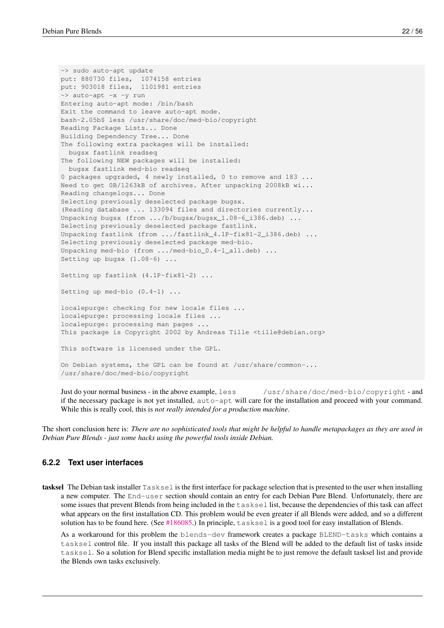```
~> sudo auto-apt update
put: 880730 files, 1074158 entries
put: 903018 files, 1101981 entries
~> auto-apt -x -y run
Entering auto-apt mode: /bin/bash
Exit the command to leave auto-apt mode.
bash-2.05b$ less /usr/share/doc/med-bio/copyright
Reading Package Lists... Done
Building Dependency Tree... Done
The following extra packages will be installed:
 bugsx fastlink readseq
The following NEW packages will be installed:
 bugsx fastlink med-bio readseq
0 packages upgraded, 4 newly installed, 0 to remove and 183 ...
Need to get 0B/1263kB of archives. After unpacking 2008kB wi...
Reading changelogs... Done
Selecting previously deselected package bugsx.
(Reading database ... 133094 files and directories currently...
Unpacking bugsx (from .../b/bugsx/bugsx_1.08-6_i386.deb) ...
Selecting previously deselected package fastlink.
Unpacking fastlink (from .../fastlink_4.1P-fix81-2_i386.deb) ...
Selecting previously deselected package med-bio.
Unpacking med-bio (from .../med-bio_0.4-1_all.deb) ...
Setting up bugsx (1.08-6) ...
Setting up fastlink (4.1P-fix81-2) ...
Setting up med-bio (0.4-1) ...
localepurge: checking for new locale files ...
localepurge: processing locale files ...
localepurge: processing man pages ...
This package is Copyright 2002 by Andreas Tille <tille@debian.org>
This software is licensed under the GPL.
On Debian systems, the GPL can be found at /usr/share/common-...
/usr/share/doc/med-bio/copyright
```
Just do your normal business - in the above example, less /usr/share/doc/med-bio/copyright - and if the necessary package is not yet installed, auto-apt will care for the installation and proceed with your command. While this is really cool, this is *not really intended for a production machine*.

The short conclusion here is: *There are no sophisticated tools that might be helpful to handle metapackages as they are used in Debian Pure Blends - just some hacks using the powerful tools inside Debian.*

#### <span id="page-28-0"></span>**6.2.2 Text user interfaces**

tasksel The Debian task installer Tasksel is the first interface for package selection that is presented to the user when installing a new computer. The End-user section should contain an entry for each Debian Pure Blend. Unfortunately, there are some issues that prevent Blends from being included in the tasksel list, because the dependencies of this task can affect what appears on the first installation CD. This problem would be even greater if all Blends were added, and so a different solution has to be found here. (See [#186085.](http://bugs.debian.org/186085)) In principle, tasksel is a good tool for easy installation of Blends.

As a workaround for this problem the blends-dev framework creates a package BLEND-tasks which contains a tasksel control file. If you install this package all tasks of the Blend will be added to the default list of tasks inside tasksel. So a solution for Blend specific installation media might be to just remove the default tasksel list and provide the Blends own tasks exclusively.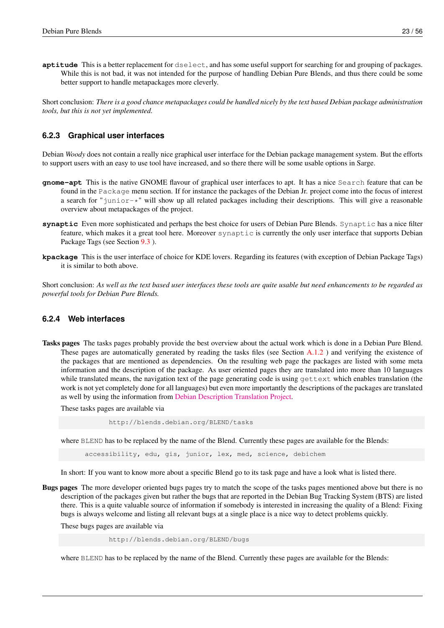Short conclusion: *There is a good chance metapackages could be handled nicely by the text based Debian package administration tools, but this is not yet implemented.*

#### <span id="page-29-0"></span>**6.2.3 Graphical user interfaces**

Debian *Woody* does not contain a really nice graphical user interface for the Debian package management system. But the efforts to support users with an easy to use tool have increased, and so there there will be some usable options in Sarge.

- **gnome-apt** This is the native GNOME flavour of graphical user interfaces to apt. It has a nice Search feature that can be found in the Package menu section. If for instance the packages of the Debian Jr. project come into the focus of interest a search for "junior-\*" will show up all related packages including their descriptions. This will give a reasonable overview about metapackages of the project.
- **synaptic** Even more sophisticated and perhaps the best choice for users of Debian Pure Blends. Synaptic has a nice filter feature, which makes it a great tool here. Moreover synaptic is currently the only user interface that supports Debian Package Tags (see Section [9.3](#page-44-1) ).
- **kpackage** This is the user interface of choice for KDE lovers. Regarding its features (with exception of Debian Package Tags) it is similar to both above.

Short conclusion: *As well as the text based user interfaces these tools are quite usable but need enhancements to be regarded as powerful tools for Debian Pure Blends.*

#### <span id="page-29-1"></span>**6.2.4 Web interfaces**

Tasks pages The tasks pages probably provide the best overview about the actual work which is done in a Debian Pure Blend. These pages are automatically generated by reading the tasks files (see Section [A.1.2](#page-49-0) ) and verifying the existence of the packages that are mentioned as dependencies. On the resulting web page the packages are listed with some meta information and the description of the package. As user oriented pages they are translated into more than 10 languages while translated means, the navigation text of the page generating code is using gettext which enables translation (the work is not yet completely done for all languages) but even more importantly the descriptions of the packages are translated as well by using the information from [Debian Description Translation Project.](http://ddtp.debian.net/)

These tasks pages are available via

http://blends.debian.org/BLEND/tasks

where BLEND has to be replaced by the name of the Blend. Currently these pages are available for the Blends:

accessibility, edu, gis, junior, lex, med, science, debichem

In short: If you want to know more about a specific Blend go to its task page and have a look what is listed there.

Bugs pages The more developer oriented bugs pages try to match the scope of the tasks pages mentioned above but there is no description of the packages given but rather the bugs that are reported in the Debian Bug Tracking System (BTS) are listed there. This is a quite valuable source of information if somebody is interested in increasing the quality of a Blend: Fixing bugs is always welcome and listing all relevant bugs at a single place is a nice way to detect problems quickly.

These bugs pages are available via

http://blends.debian.org/BLEND/bugs

where BLEND has to be replaced by the name of the Blend. Currently these pages are available for the Blends: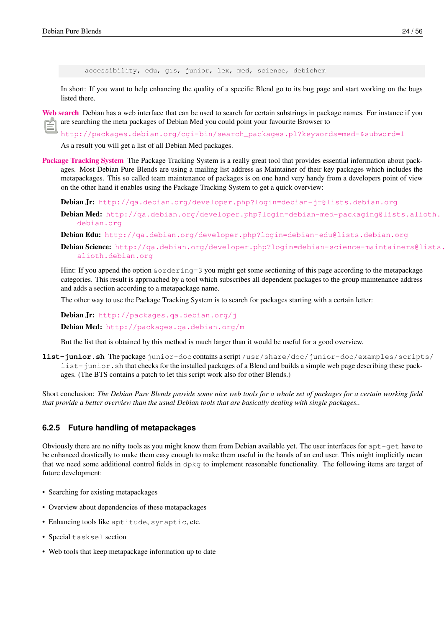accessibility, edu, gis, junior, lex, med, science, debichem

In short: If you want to help enhancing the quality of a specific Blend go to its bug page and start working on the bugs listed there.

[Web search](http://packages.debian.org/) Debian has a web interface that can be used to search for certain substrings in package names. For instance if you are searching the meta packages of Debian Med you could point your favourite Browser to

[http://packages.debian.org/cgi-bin/search\\_packages.pl?keywords=med-&subword=1](http://packages.debian.org/cgi-bin/search_packages.pl?keywords=med-&subword=1)

As a result you will get a list of all Debian Med packages.

[Package Tracking System](http://qa.debian.org/developer.php) The Package Tracking System is a really great tool that provides essential information about packages. Most Debian Pure Blends are using a mailing list address as Maintainer of their key packages which includes the metapackages. This so called team maintenance of packages is on one hand very handy from a developers point of view on the other hand it enables using the Package Tracking System to get a quick overview:

Debian Jr: <http://qa.debian.org/developer.php?login=debian-jr@lists.debian.org>

Debian Med: [http://qa.debian.org/developer.php?login=debian-med-packaging@lists.alio](http://qa.debian.org/developer.php?login=debian-med-packaging@lists.alioth.debian.org)th. [debian.org](http://qa.debian.org/developer.php?login=debian-med-packaging@lists.alioth.debian.org)

Debian Edu: <http://qa.debian.org/developer.php?login=debian-edu@lists.debian.org>

Debian Science: [http://qa.debian.org/developer.php?login=debian-science-maintainers@li](http://qa.debian.org/developer.php?login=debian-science-maintainers@lists.alioth.debian.org)sts. [alioth.debian.org](http://qa.debian.org/developer.php?login=debian-science-maintainers@lists.alioth.debian.org)

Hint: If you append the option  $\&\text{ordering}=3$  you might get some sectioning of this page according to the metapackage categories. This result is approached by a tool which subscribes all dependent packages to the group maintenance address and adds a section according to a metapackage name.

The other way to use the Package Tracking System is to search for packages starting with a certain letter:

Debian Jr: <http://packages.qa.debian.org/j> Debian Med: <http://packages.qa.debian.org/m>

But the list that is obtained by this method is much larger than it would be useful for a good overview.

**list-junior.sh** The package junior-doc contains a script /usr/share/doc/junior-doc/examples/scripts/ list-junior.sh that checks for the installed packages of a Blend and builds a simple web page describing these packages. (The BTS contains a patch to let this script work also for other Blends.)

Short conclusion: *The Debian Pure Blends provide some nice web tools for a whole set of packages for a certain working field that provide a better overview than the usual Debian tools that are basically dealing with single packages..*

#### <span id="page-30-0"></span>**6.2.5 Future handling of metapackages**

Obviously there are no nifty tools as you might know them from Debian available yet. The user interfaces for  $apt-qet$  have to be enhanced drastically to make them easy enough to make them useful in the hands of an end user. This might implicitly mean that we need some additional control fields in dpkg to implement reasonable functionality. The following items are target of future development:

- Searching for existing metapackages
- Overview about dependencies of these metapackages
- Enhancing tools like aptitude, synaptic, etc.
- Special tasksel section
- Web tools that keep metapackage information up to date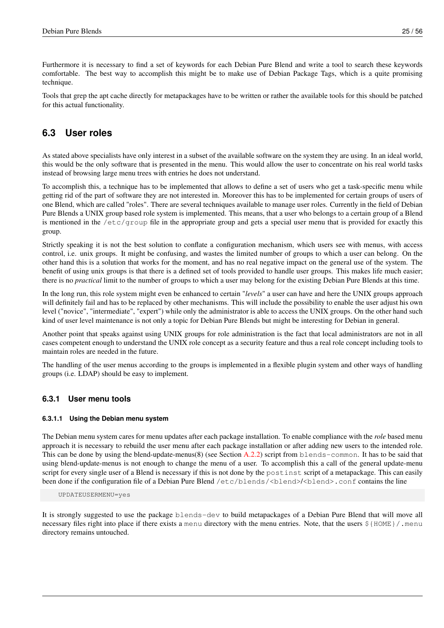Furthermore it is necessary to find a set of keywords for each Debian Pure Blend and write a tool to search these keywords comfortable. The best way to accomplish this might be to make use of Debian Package Tags, which is a quite promising technique.

Tools that grep the apt cache directly for metapackages have to be written or rather the available tools for this should be patched for this actual functionality.

### <span id="page-31-0"></span>**6.3 User roles**

As stated above specialists have only interest in a subset of the available software on the system they are using. In an ideal world, this would be the only software that is presented in the menu. This would allow the user to concentrate on his real world tasks instead of browsing large menu trees with entries he does not understand.

To accomplish this, a technique has to be implemented that allows to define a set of users who get a task-specific menu while getting rid of the part of software they are not interested in. Moreover this has to be implemented for certain groups of users of one Blend, which are called "roles". There are several techniques available to manage user roles. Currently in the field of Debian Pure Blends a UNIX group based role system is implemented. This means, that a user who belongs to a certain group of a Blend is mentioned in the /etc/group file in the appropriate group and gets a special user menu that is provided for exactly this group.

Strictly speaking it is not the best solution to conflate a configuration mechanism, which users see with menus, with access control, i.e. unix groups. It might be confusing, and wastes the limited number of groups to which a user can belong. On the other hand this is a solution that works for the moment, and has no real negative impact on the general use of the system. The benefit of using unix groups is that there is a defined set of tools provided to handle user groups. This makes life much easier; there is no *practical* limit to the number of groups to which a user may belong for the existing Debian Pure Blends at this time.

In the long run, this role system might even be enhanced to certain "*levels*" a user can have and here the UNIX groups approach will definitely fail and has to be replaced by other mechanisms. This will include the possibility to enable the user adjust his own level ("novice", "intermediate", "expert") while only the administrator is able to access the UNIX groups. On the other hand such kind of user level maintenance is not only a topic for Debian Pure Blends but might be interesting for Debian in general.

Another point that speaks against using UNIX groups for role administration is the fact that local administrators are not in all cases competent enough to understand the UNIX role concept as a security feature and thus a real role concept including tools to maintain roles are needed in the future.

The handling of the user menus according to the groups is implemented in a flexible plugin system and other ways of handling groups (i.e. LDAP) should be easy to implement.

#### <span id="page-31-1"></span>**6.3.1 User menu tools**

#### <span id="page-31-2"></span>**6.3.1.1 Using the Debian menu system**

The Debian menu system cares for menu updates after each package installation. To enable compliance with the *role* based menu approach it is necessary to rebuild the user menu after each package installation or after adding new users to the intended role. This can be done by using the blend-update-menus(8) (see Section [A.2.2\)](#page-51-3) script from blends-common. It has to be said that using blend-update-menus is not enough to change the menu of a user. To accomplish this a call of the general update-menu script for every single user of a Blend is necessary if this is not done by the postinst script of a metapackage. This can easily been done if the configuration file of a Debian Pure Blend /etc/blends/<br/>blend>/<br/>blend>.conf contains the line

UPDATEUSERMENU=yes

It is strongly suggested to use the package blends-dev to build metapackages of a Debian Pure Blend that will move all necessary files right into place if there exists a menu directory with the menu entries. Note, that the users  $${HOME}/$ .menu directory remains untouched.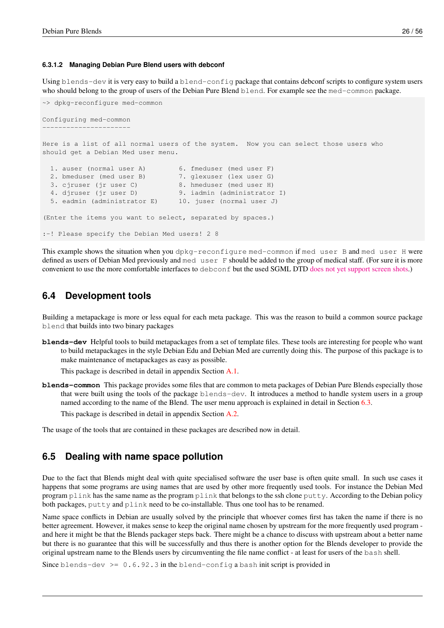#### <span id="page-32-0"></span>**6.3.1.2 Managing Debian Pure Blend users with debconf**

Using blends-dev it is very easy to build a blend-config package that contains debconf scripts to configure system users who should belong to the group of users of the Debian Pure Blend blend. For example see the med-common package.

```
~> dpkg-reconfigure med-common
Configuring med-common
----------------------
Here is a list of all normal users of the system. Now you can select those users who
should get a Debian Med user menu.
  1. auser (normal user A) 6. fmeduser (med user F)
  2. bmeduser (med user B) 7. glexuser (lex user G)
 2. Dimeduser (med door D, 2. Dimeduser (med user H)<br>3. cjruser (jr user C) 8. hmeduser (med user H)
  4. djruser (jr user D) 9. iadmin (administrator I)
  5. eadmin (administrator E) 10. juser (normal user J)
(Enter the items you want to select, separated by spaces.)
:-! Please specify the Debian Med users! 2 8
```
This example shows the situation when you dpkg-reconfigure med-common if med user B and med user H were defined as users of Debian Med previously and med user F should be added to the group of medical staff. (For sure it is more convenient to use the more comfortable interfaces to debconf but the used SGML DTD [does not yet support screen shots.](http://bugs.debian.org/140684))

### <span id="page-32-1"></span>**6.4 Development tools**

Building a metapackage is more or less equal for each meta package. This was the reason to build a common source package blend that builds into two binary packages

**blends-dev** Helpful tools to build metapackages from a set of template files. These tools are interesting for people who want to build metapackages in the style Debian Edu and Debian Med are currently doing this. The purpose of this package is to make maintenance of metapackages as easy as possible.

This package is described in detail in appendix Section [A.1.](#page-48-1)

**blends-common** This package provides some files that are common to meta packages of Debian Pure Blends especially those that were built using the tools of the package blends-dev. It introduces a method to handle system users in a group named according to the name of the Blend. The user menu approach is explained in detail in Section [6.3.](#page-31-0)

This package is described in detail in appendix Section [A.2.](#page-51-1)

The usage of the tools that are contained in these packages are described now in detail.

### <span id="page-32-2"></span>**6.5 Dealing with name space pollution**

Due to the fact that Blends might deal with quite specialised software the user base is often quite small. In such use cases it happens that some programs are using names that are used by other more frequently used tools. For instance the Debian Med program plink has the same name as the program plink that belongs to the ssh clone putty. According to the Debian policy both packages, putty and plink need to be co-installable. Thus one tool has to be renamed.

Name space conflicts in Debian are usually solved by the principle that whoever comes first has taken the name if there is no better agreement. However, it makes sense to keep the original name chosen by upstream for the more frequently used program and here it might be that the Blends packager steps back. There might be a chance to discuss with upstream about a better name but there is no guarantee that this will be successfully and thus there is another option for the Blends developer to provide the original upstream name to the Blends users by circumventing the file name conflict - at least for users of the bash shell.

Since blends-dev  $>= 0.6.92.3$  in the blend-config a bash init script is provided in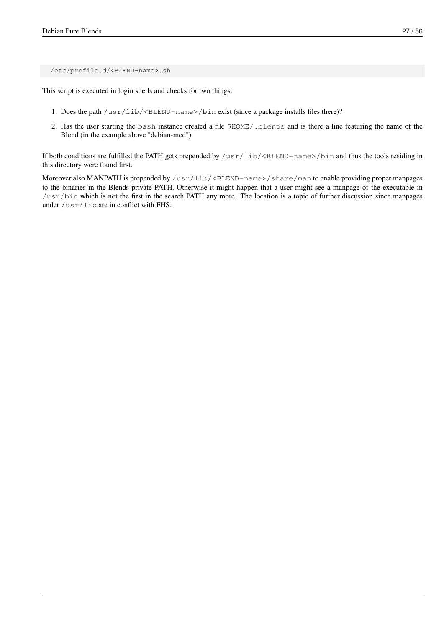/etc/profile.d/<BLEND-name>.sh

This script is executed in login shells and checks for two things:

- 1. Does the path /usr/lib/<BLEND-name>/bin exist (since a package installs files there)?
- 2. Has the user starting the bash instance created a file \$HOME/.blends and is there a line featuring the name of the Blend (in the example above "debian-med")

If both conditions are fulfilled the PATH gets prepended by /usr/lib/<BLEND-name>/bin and thus the tools residing in this directory were found first.

Moreover also MANPATH is prepended by /usr/lib/<BLEND-name>/share/man to enable providing proper manpages to the binaries in the Blends private PATH. Otherwise it might happen that a user might see a manpage of the executable in /usr/bin which is not the first in the search PATH any more. The location is a topic of further discussion since manpages under /usr/lib are in conflict with FHS.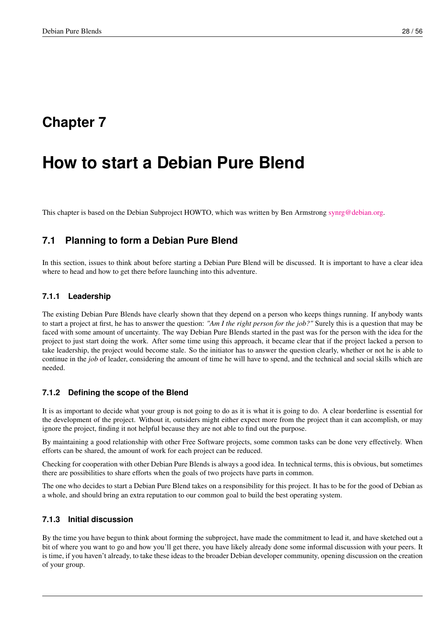# <span id="page-34-0"></span>**Chapter 7**

# **How to start a Debian Pure Blend**

This chapter is based on the Debian Subproject HOWTO, which was written by Ben Armstrong [synrg@debian.org.](mailto:synrg@debian.org)

### <span id="page-34-1"></span>**7.1 Planning to form a Debian Pure Blend**

In this section, issues to think about before starting a Debian Pure Blend will be discussed. It is important to have a clear idea where to head and how to get there before launching into this adventure.

#### <span id="page-34-2"></span>**7.1.1 Leadership**

The existing Debian Pure Blends have clearly shown that they depend on a person who keeps things running. If anybody wants to start a project at first, he has to answer the question: *"Am I the right person for the job?"* Surely this is a question that may be faced with some amount of uncertainty. The way Debian Pure Blends started in the past was for the person with the idea for the project to just start doing the work. After some time using this approach, it became clear that if the project lacked a person to take leadership, the project would become stale. So the initiator has to answer the question clearly, whether or not he is able to continue in the *job* of leader, considering the amount of time he will have to spend, and the technical and social skills which are needed.

#### <span id="page-34-3"></span>**7.1.2 Defining the scope of the Blend**

It is as important to decide what your group is not going to do as it is what it is going to do. A clear borderline is essential for the development of the project. Without it, outsiders might either expect more from the project than it can accomplish, or may ignore the project, finding it not helpful because they are not able to find out the purpose.

By maintaining a good relationship with other Free Software projects, some common tasks can be done very effectively. When efforts can be shared, the amount of work for each project can be reduced.

Checking for cooperation with other Debian Pure Blends is always a good idea. In technical terms, this is obvious, but sometimes there are possibilities to share efforts when the goals of two projects have parts in common.

The one who decides to start a Debian Pure Blend takes on a responsibility for this project. It has to be for the good of Debian as a whole, and should bring an extra reputation to our common goal to build the best operating system.

#### <span id="page-34-4"></span>**7.1.3 Initial discussion**

By the time you have begun to think about forming the subproject, have made the commitment to lead it, and have sketched out a bit of where you want to go and how you'll get there, you have likely already done some informal discussion with your peers. It is time, if you haven't already, to take these ideas to the broader Debian developer community, opening discussion on the creation of your group.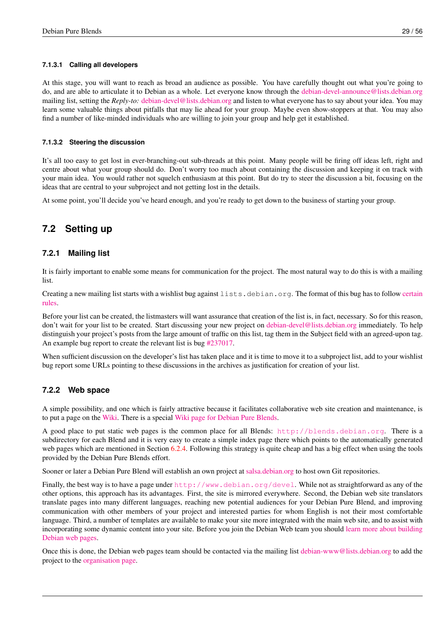#### <span id="page-35-0"></span>**7.1.3.1 Calling all developers**

At this stage, you will want to reach as broad an audience as possible. You have carefully thought out what you're going to do, and are able to articulate it to Debian as a whole. Let everyone know through the [debian-devel-announce@lists.debian.org](mailto:debian-devel-announce@lists.debian.org) mailing list, setting the *Reply-to:* [debian-devel@lists.debian.org](mailto:debian-devel@lists.debian.org) and listen to what everyone has to say about your idea. You may learn some valuable things about pitfalls that may lie ahead for your group. Maybe even show-stoppers at that. You may also find a number of like-minded individuals who are willing to join your group and help get it established.

#### <span id="page-35-1"></span>**7.1.3.2 Steering the discussion**

It's all too easy to get lost in ever-branching-out sub-threads at this point. Many people will be firing off ideas left, right and centre about what your group should do. Don't worry too much about containing the discussion and keeping it on track with your main idea. You would rather not squelch enthusiasm at this point. But do try to steer the discussion a bit, focusing on the ideas that are central to your subproject and not getting lost in the details.

At some point, you'll decide you've heard enough, and you're ready to get down to the business of starting your group.

# <span id="page-35-2"></span>**7.2 Setting up**

#### <span id="page-35-3"></span>**7.2.1 Mailing list**

It is fairly important to enable some means for communication for the project. The most natural way to do this is with a mailing list.

Creating a new mailing list starts with a wishlist bug against lists.debian.org. The format of this bug has to follow [certain](http://www.debian.org/MailingLists/HOWTO_start_list) [rules.](http://www.debian.org/MailingLists/HOWTO_start_list)

Before your list can be created, the listmasters will want assurance that creation of the list is, in fact, necessary. So for this reason, don't wait for your list to be created. Start discussing your new project on [debian-devel@lists.debian.org](mailto:debian-devel@lists.debian.org) immediately. To help distinguish your project's posts from the large amount of traffic on this list, tag them in the Subject field with an agreed-upon tag. An example bug report to create the relevant list is bug [#237017.](http://bugs.debian.org/237017)

When sufficient discussion on the developer's list has taken place and it is time to move it to a subproject list, add to your wishlist bug report some URLs pointing to these discussions in the archives as justification for creation of your list.

#### <span id="page-35-4"></span>**7.2.2 Web space**

A simple possibility, and one which is fairly attractive because it facilitates collaborative web site creation and maintenance, is to put a page on the [Wiki.](http://wiki.debian.org) There is a special [Wiki page for Debian Pure Blends.](http://wiki.debian.org/index.cgi?DebianPureBlends)

A good place to put static web pages is the common place for all Blends: <http://blends.debian.org>. There is a subdirectory for each Blend and it is very easy to create a simple index page there which points to the automatically generated web pages which are mentioned in Section [6.2.4.](#page-29-1) Following this strategy is quite cheap and has a big effect when using the tools provided by the Debian Pure Blends effort.

Sooner or later a Debian Pure Blend will establish an own project at [salsa.debian.org](https://salsa.debian.org) to host own Git repositories.

Finally, the best way is to have a page under <http://www.debian.org/devel>. While not as straightforward as any of the other options, this approach has its advantages. First, the site is mirrored everywhere. Second, the Debian web site translators translate pages into many different languages, reaching new potential audiences for your Debian Pure Blend, and improving communication with other members of your project and interested parties for whom English is not their most comfortable language. Third, a number of templates are available to make your site more integrated with the main web site, and to assist with incorporating some dynamic content into your site. Before you join the Debian Web team you should [learn more about building](http://www.debian.org/devel/website) [Debian web pages.](http://www.debian.org/devel/website)

Once this is done, the Debian web pages team should be contacted via the mailing list [debian-www@lists.debian.org](mailto:debian-www@lists.debian.org) to add the project to the [organisation page.](http://www.debian.org/intro/organization)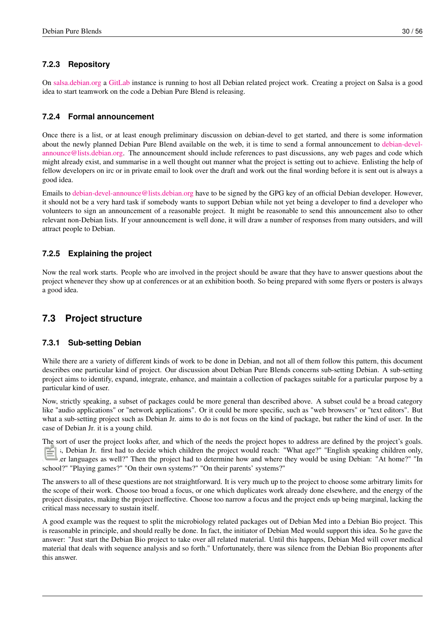### <span id="page-36-0"></span>**7.2.3 Repository**

On [salsa.debian.org](https://salsa.debian.org/) a [GitLab](https://gitlab.com/) instance is running to host all Debian related project work. Creating a project on Salsa is a good idea to start teamwork on the code a Debian Pure Blend is releasing.

#### <span id="page-36-1"></span>**7.2.4 Formal announcement**

Once there is a list, or at least enough preliminary discussion on debian-devel to get started, and there is some information about the newly planned Debian Pure Blend available on the web, it is time to send a formal announcement to [debian-devel](mailto:debian-devel-announce@lists.debian.org)[announce@lists.debian.org.](mailto:debian-devel-announce@lists.debian.org) The announcement should include references to past discussions, any web pages and code which might already exist, and summarise in a well thought out manner what the project is setting out to achieve. Enlisting the help of fellow developers on irc or in private email to look over the draft and work out the final wording before it is sent out is always a good idea.

Emails to [debian-devel-announce@lists.debian.org](mailto:debian-devel-announce@lists.debian.org) have to be signed by the GPG key of an official Debian developer. However, it should not be a very hard task if somebody wants to support Debian while not yet being a developer to find a developer who volunteers to sign an announcement of a reasonable project. It might be reasonable to send this announcement also to other relevant non-Debian lists. If your announcement is well done, it will draw a number of responses from many outsiders, and will attract people to Debian.

#### <span id="page-36-2"></span>**7.2.5 Explaining the project**

Now the real work starts. People who are involved in the project should be aware that they have to answer questions about the project whenever they show up at conferences or at an exhibition booth. So being prepared with some flyers or posters is always a good idea.

# <span id="page-36-3"></span>**7.3 Project structure**

#### <span id="page-36-4"></span>**7.3.1 Sub-setting Debian**

While there are a variety of different kinds of work to be done in Debian, and not all of them follow this pattern, this document describes one particular kind of project. Our discussion about Debian Pure Blends concerns sub-setting Debian. A sub-setting project aims to identify, expand, integrate, enhance, and maintain a collection of packages suitable for a particular purpose by a particular kind of user.

Now, strictly speaking, a subset of packages could be more general than described above. A subset could be a broad category like "audio applications" or "network applications". Or it could be more specific, such as "web browsers" or "text editors". But what a sub-setting project such as Debian Jr. aims to do is not focus on the kind of package, but rather the kind of user. In the case of Debian Jr. it is a young child.

The sort of user the project looks after, and which of the needs the project hopes to address are defined by the project's goals. Thus, Debian Jr. first had to decide which children the project would reach: "What age?" "English speaking children only, or other languages as well?" Then the project had to determine how and where they would be using Debian: "At home?" "In school?" "Playing games?" "On their own systems?" "On their parents' systems?"

The answers to all of these questions are not straightforward. It is very much up to the project to choose some arbitrary limits for the scope of their work. Choose too broad a focus, or one which duplicates work already done elsewhere, and the energy of the project dissipates, making the project ineffective. Choose too narrow a focus and the project ends up being marginal, lacking the critical mass necessary to sustain itself.

A good example was the request to split the microbiology related packages out of Debian Med into a Debian Bio project. This is reasonable in principle, and should really be done. In fact, the initiator of Debian Med would support this idea. So he gave the answer: "Just start the Debian Bio project to take over all related material. Until this happens, Debian Med will cover medical material that deals with sequence analysis and so forth." Unfortunately, there was silence from the Debian Bio proponents after this answer.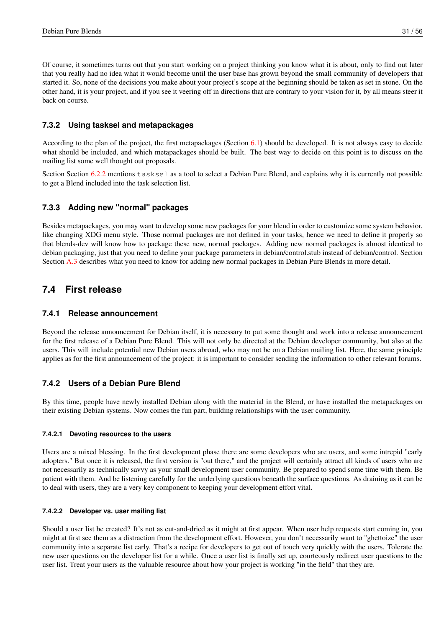Of course, it sometimes turns out that you start working on a project thinking you know what it is about, only to find out later that you really had no idea what it would become until the user base has grown beyond the small community of developers that started it. So, none of the decisions you make about your project's scope at the beginning should be taken as set in stone. On the other hand, it is your project, and if you see it veering off in directions that are contrary to your vision for it, by all means steer it back on course.

#### <span id="page-37-0"></span>**7.3.2 Using tasksel and metapackages**

According to the plan of the project, the first metapackages (Section [6.1\)](#page-25-1) should be developed. It is not always easy to decide what should be included, and which metapackages should be built. The best way to decide on this point is to discuss on the mailing list some well thought out proposals.

Section Section [6.2.2](#page-28-0) mentions tasksel as a tool to select a Debian Pure Blend, and explains why it is currently not possible to get a Blend included into the task selection list.

#### <span id="page-37-1"></span>**7.3.3 Adding new "normal" packages**

Besides metapackages, you may want to develop some new packages for your blend in order to customize some system behavior, like changing XDG menu style. Those normal packages are not defined in your tasks, hence we need to define it properly so that blends-dev will know how to package these new, normal packages. Adding new normal packages is almost identical to debian packaging, just that you need to define your package parameters in debian/control.stub instead of debian/control. Section Section [A.3](#page-52-2) describes what you need to know for adding new normal packages in Debian Pure Blends in more detail.

### <span id="page-37-2"></span>**7.4 First release**

#### <span id="page-37-3"></span>**7.4.1 Release announcement**

Beyond the release announcement for Debian itself, it is necessary to put some thought and work into a release announcement for the first release of a Debian Pure Blend. This will not only be directed at the Debian developer community, but also at the users. This will include potential new Debian users abroad, who may not be on a Debian mailing list. Here, the same principle applies as for the first announcement of the project: it is important to consider sending the information to other relevant forums.

#### <span id="page-37-4"></span>**7.4.2 Users of a Debian Pure Blend**

By this time, people have newly installed Debian along with the material in the Blend, or have installed the metapackages on their existing Debian systems. Now comes the fun part, building relationships with the user community.

#### <span id="page-37-5"></span>**7.4.2.1 Devoting resources to the users**

Users are a mixed blessing. In the first development phase there are some developers who are users, and some intrepid "early adopters." But once it is released, the first version is "out there," and the project will certainly attract all kinds of users who are not necessarily as technically savvy as your small development user community. Be prepared to spend some time with them. Be patient with them. And be listening carefully for the underlying questions beneath the surface questions. As draining as it can be to deal with users, they are a very key component to keeping your development effort vital.

#### <span id="page-37-6"></span>**7.4.2.2 Developer vs. user mailing list**

Should a user list be created? It's not as cut-and-dried as it might at first appear. When user help requests start coming in, you might at first see them as a distraction from the development effort. However, you don't necessarily want to "ghettoize" the user community into a separate list early. That's a recipe for developers to get out of touch very quickly with the users. Tolerate the new user questions on the developer list for a while. Once a user list is finally set up, courteously redirect user questions to the user list. Treat your users as the valuable resource about how your project is working "in the field" that they are.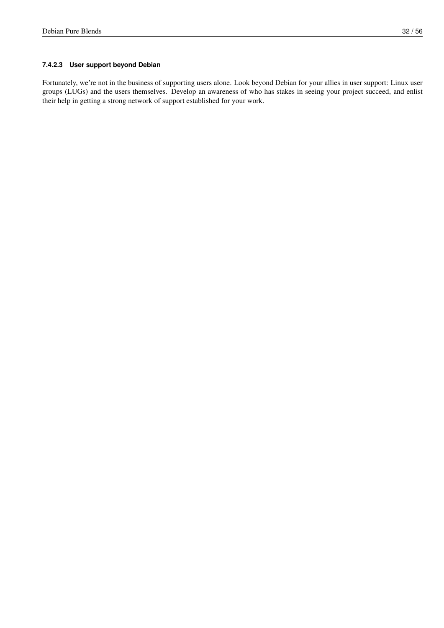#### <span id="page-38-0"></span>**7.4.2.3 User support beyond Debian**

Fortunately, we're not in the business of supporting users alone. Look beyond Debian for your allies in user support: Linux user groups (LUGs) and the users themselves. Develop an awareness of who has stakes in seeing your project succeed, and enlist their help in getting a strong network of support established for your work.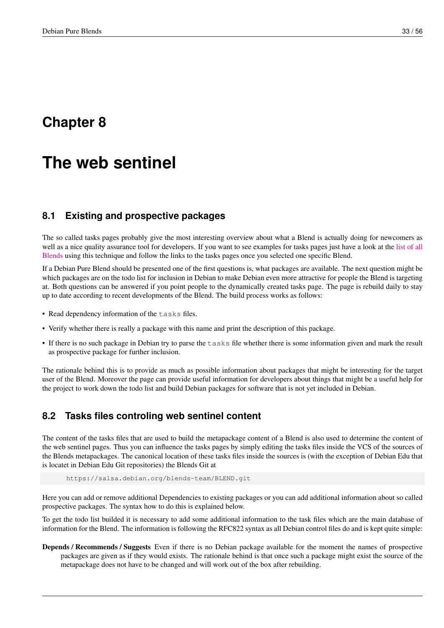# <span id="page-39-0"></span>**Chapter 8**

# **The web sentinel**

### <span id="page-39-1"></span>**8.1 Existing and prospective packages**

The so called tasks pages probably give the most interesting overview about what a Blend is actually doing for newcomers as well as a nice quality assurance tool for developers. If you want to see examples for tasks pages just have a look at the [list of all](http://blends.debian.org/) [Blends](http://blends.debian.org/) using this technique and follow the links to the tasks pages once you selected one specific Blend.

If a Debian Pure Blend should be presented one of the first questions is, what packages are available. The next question might be which packages are on the todo list for inclusion in Debian to make Debian even more attractive for people the Blend is targeting at. Both questions can be answered if you point people to the dynamically created tasks page. The page is rebuild daily to stay up to date according to recent developments of the Blend. The build process works as follows:

- Read dependency information of the tasks files.
- Verify whether there is really a package with this name and print the description of this package.
- If there is no such package in Debian try to parse the tasks file whether there is some information given and mark the result as prospective package for further inclusion.

The rationale behind this is to provide as much as possible information about packages that might be interesting for the target user of the Blend. Moreover the page can provide useful information for developers about things that might be a useful help for the project to work down the todo list and build Debian packages for software that is not yet included in Debian.

### <span id="page-39-2"></span>**8.2 Tasks files controling web sentinel content**

The content of the tasks files that are used to build the metapackage content of a Blend is also used to determine the content of the web sentinel pages. Thus you can influence the tasks pages by simply editing the tasks files inside the VCS of the sources of the Blends metapackages. The canonical location of these tasks files inside the sources is (with the exception of Debian Edu that is locatet in Debian Edu Git repositories) the Blends Git at

https://salsa.debian.org/blends-team/BLEND.git

Here you can add or remove additional Dependencies to existing packages or you can add additional information about so called prospective packages. The syntax how to do this is explained below.

To get the todo list builded it is necessary to add some additional information to the task files which are the main database of information for the Blend. The information is following the RFC822 syntax as all Debian control files do and is kept quite simple:

Depends / Recommends / Suggests Even if there is no Debian package available for the moment the names of prospective packages are given as if they would exists. The rationale behind is that once such a package might exist the source of the metapackage does not have to be changed and will work out of the box after rebuilding.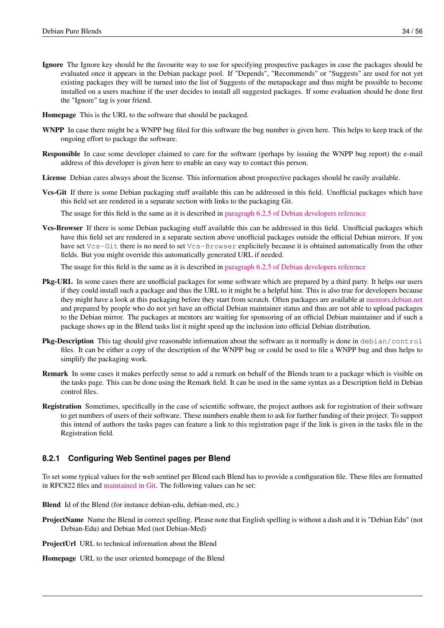- Homepage This is the URL to the software that should be packaged.
- WNPP In case there might be a WNPP bug filed for this software the bug number is given here. This helps to keep track of the ongoing effort to package the software.
- Responsible In case some developer claimed to care for the software (perhaps by issuing the WNPP bug report) the e-mail address of this developer is given here to enable an easy way to contact this person.
- License Debian cares always about the license. This information about prospective packages should be easily available.
- Vcs-Git If there is some Debian packaging stuff available this can be addressed in this field. Unofficial packages which have this field set are rendered in a separate section with links to the packaging Git.

The usage for this field is the same as it is described in [paragraph 6.2.5 of Debian developers reference](http://www.debian.org/doc/developers-reference/best-pkging-practices.html#bpp-vcs)

Vcs-Browser If there is some Debian packaging stuff available this can be addressed in this field. Unofficial packages which have this field set are rendered in a separate section above unofficial packages outside the official Debian mirrors. If you have set Vcs-Git there is no need to set Vcs-Browser explicitely because it is obtained automatically from the other fields. But you might override this automatically generated URL if needed.

The usage for this field is the same as it is described in [paragraph 6.2.5 of Debian developers reference](http://www.debian.org/doc/developers-reference/best-pkging-practices.html#bpp-vcs)

- Pkg-URL In some cases there are unofficial packages for some software which are prepared by a third party. It helps our users if they could install such a package and thus the URL to it might be a helpful hint. This is also true for developers because they might have a look at this packaging before they start from scratch. Often packages are available at [mentors.debian.net](http://mentors.debian.net/) and prepared by people who do not yet have an official Debian maintainer status and thus are not able to upload packages to the Debian mirror. The packages at mentors are waiting for sponsoring of an official Debian maintainer and if such a package shows up in the Blend tasks list it might speed up the inclusion into official Debian distribution.
- **Pkg-Description** This tag should give reasonable information about the software as it normally is done in debian/control files. It can be either a copy of the description of the WNPP bug or could be used to file a WNPP bug and thus helps to simplify the packaging work.
- Remark In some cases it makes perfectly sense to add a remark on behalf of the Blends team to a package which is visible on the tasks page. This can be done using the Remark field. It can be used in the same syntax as a Description field in Debian control files.
- Registration Sometimes, specifically in the case of scientific software, the project authors ask for registration of their software to get numbers of users of their software. These numbers enable them to ask for further funding of their project. To support this intend of authors the tasks pages can feature a link to this registration page if the link is given in the tasks file in the Registration field.

#### <span id="page-40-0"></span>**8.2.1 Configuring Web Sentinel pages per Blend**

To set some typical values for the web sentinel per Blend each Blend has to provide a configuration file. These files are formatted in RFC822 files and [maintained in Git.](http://anonscm.debian.org/gitweb/?p=blends/website.git;a=tree;f=webtools/webconf) The following values can be set:

- Blend Id of the Blend (for instance debian-edu, debian-med, etc.)
- ProjectName Name the Blend in correct spelling. Please note that English spelling is without a dash and it is "Debian Edu" (not Debian-Edu) and Debian Med (not Debian-Med)
- ProjectUrl URL to technical information about the Blend
- Homepage URL to the user oriented homepage of the Blend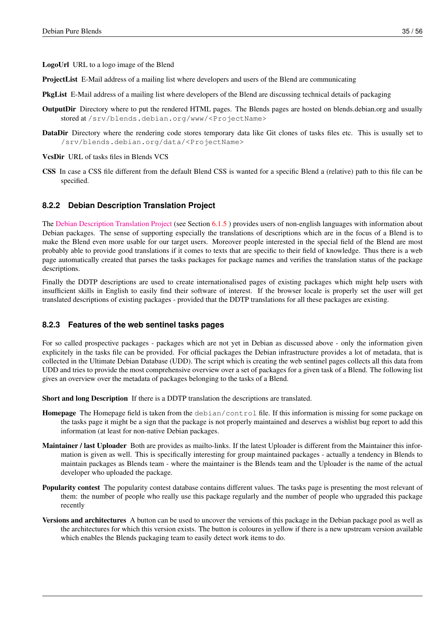LogoUrl URL to a logo image of the Blend

- ProjectList E-Mail address of a mailing list where developers and users of the Blend are communicating
- PkgList E-Mail address of a mailing list where developers of the Blend are discussing technical details of packaging
- OutputDir Directory where to put the rendered HTML pages. The Blends pages are hosted on blends.debian.org and usually stored at /srv/blends.debian.org/www/<ProjectName>
- DataDir Directory where the rendering code stores temporary data like Git clones of tasks files etc. This is usually set to /srv/blends.debian.org/data/<ProjectName>

VcsDir URL of tasks files in Blends VCS

CSS In case a CSS file different from the default Blend CSS is wanted for a specific Blend a (relative) path to this file can be specified.

#### <span id="page-41-0"></span>**8.2.2 Debian Description Translation Project**

The [Debian Description Translation Project](http://ddtp.debian.net/) (see Section [6.1.5](#page-26-3) ) provides users of non-english languages with information about Debian packages. The sense of supporting especially the translations of descriptions which are in the focus of a Blend is to make the Blend even more usable for our target users. Moreover people interested in the special field of the Blend are most probably able to provide good translations if it comes to texts that are specific to their field of knowledge. Thus there is a web page automatically created that parses the tasks packages for package names and verifies the translation status of the package descriptions.

Finally the DDTP descriptions are used to create internationalised pages of existing packages which might help users with insufficient skills in English to easily find their software of interest. If the browser locale is properly set the user will get translated descriptions of existing packages - provided that the DDTP translations for all these packages are existing.

#### <span id="page-41-1"></span>**8.2.3 Features of the web sentinel tasks pages**

For so called prospective packages - packages which are not yet in Debian as discussed above - only the information given explicitely in the tasks file can be provided. For official packages the Debian infrastructure provides a lot of metadata, that is collected in the Ultimate Debian Database (UDD). The script which is creating the web sentinel pages collects all this data from UDD and tries to provide the most comprehensive overview over a set of packages for a given task of a Blend. The following list gives an overview over the metadata of packages belonging to the tasks of a Blend.

Short and long Description If there is a DDTP translation the descriptions are translated.

- Homepage The Homepage field is taken from the debian/control file. If this information is missing for some package on the tasks page it might be a sign that the package is not properly maintained and deserves a wishlist bug report to add this information (at least for non-native Debian packages.
- Maintainer / last Uploader Both are provides as mailto-links. If the latest Uploader is different from the Maintainer this information is given as well. This is specifically interesting for group maintained packages - actually a tendency in Blends to maintain packages as Blends team - where the maintainer is the Blends team and the Uploader is the name of the actual developer who uploaded the package.
- Popularity contest The popularity contest database contains different values. The tasks page is presenting the most relevant of them: the number of people who really use this package regularly and the number of people who upgraded this package recently
- Versions and architectures A button can be used to uncover the versions of this package in the Debian package pool as well as the architectures for which this version exists. The button is coloures in yellow if there is a new upstream version available which enables the Blends packaging team to easily detect work items to do.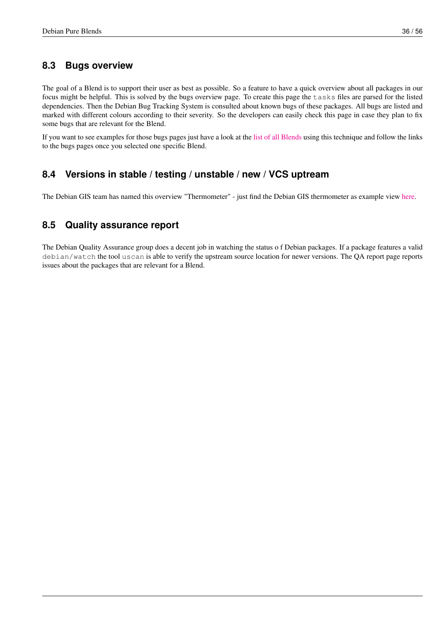# <span id="page-42-0"></span>**8.3 Bugs overview**

The goal of a Blend is to support their user as best as possible. So a feature to have a quick overview about all packages in our focus might be helpful. This is solved by the bugs overview page. To create this page the tasks files are parsed for the listed dependencies. Then the Debian Bug Tracking System is consulted about known bugs of these packages. All bugs are listed and marked with different colours according to their severity. So the developers can easily check this page in case they plan to fix some bugs that are relevant for the Blend.

If you want to see examples for those bugs pages just have a look at the [list of all Blends](http://blends.debian.org/) using this technique and follow the links to the bugs pages once you selected one specific Blend.

# <span id="page-42-1"></span>**8.4 Versions in stable / testing / unstable / new / VCS uptream**

The Debian GIS team has named this overview "Thermometer" - just find the Debian GIS thermometer as example view [here.](http://blends.debian.org/gis/thermometer/)

# <span id="page-42-2"></span>**8.5 Quality assurance report**

The Debian Quality Assurance group does a decent job in watching the status o f Debian packages. If a package features a valid debian/watch the tool uscan is able to verify the upstream source location for newer versions. The QA report page reports issues about the packages that are relevant for a Blend.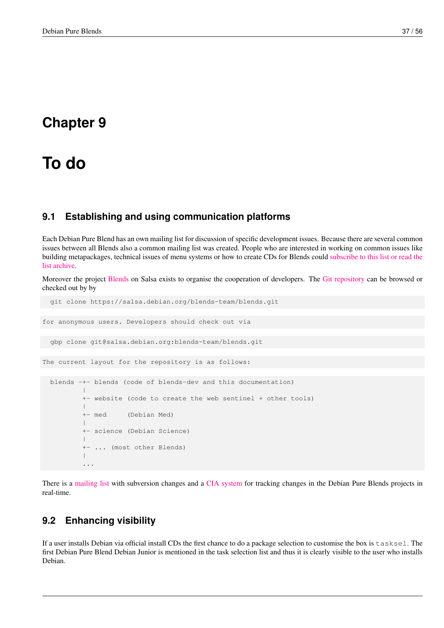# <span id="page-43-0"></span>**Chapter 9**

# **To do**

# <span id="page-43-1"></span>**9.1 Establishing and using communication platforms**

Each Debian Pure Blend has an own mailing list for discussion of specific development issues. Because there are several common issues between all Blends also a common mailing list was created. People who are interested in working on common issues like building metapackages, technical issues of menu systems or how to create CDs for Blends could [subscribe to this list or read the](http://lists.debian.org/debian-blends/) [list archive.](http://lists.debian.org/debian-blends/)

Moreover the project [Blends](https://salsa.debian.org/blends-team) on Salsa exists to organise the cooperation of developers. The [Git repository](https://salsa.debian.org/blends-team/blends) can be browsed or checked out by by

```
git clone https://salsa.debian.org/blends-team/blends.git
for anonymous users. Developers should check out via
  gbp clone git@salsa.debian.org:blends-team/blends.git
The current layout for the repository is as follows:
  blends -+- blends (code of blends-dev and this documentation)
          \vert+- website (code to create the web sentinel + other tools)
          \vert+- med (Debian Med)
          \vert+- science (Debian Science)
          \vert+- ... (most other Blends)
          \vert...
```
There is a [mailing list](http://lists.alioth.debian.org/mailman/listinfo/blends-commits) with subversion changes and a [CIA system](http://cia.navi.cx/stats/project/debian-custom) for tracking changes in the Debian Pure Blends projects in real-time.

### <span id="page-43-2"></span>**9.2 Enhancing visibility**

If a user installs Debian via official install CDs the first chance to do a package selection to customise the box is tasksel. The first Debian Pure Blend Debian Junior is mentioned in the task selection list and thus it is clearly visible to the user who installs Debian.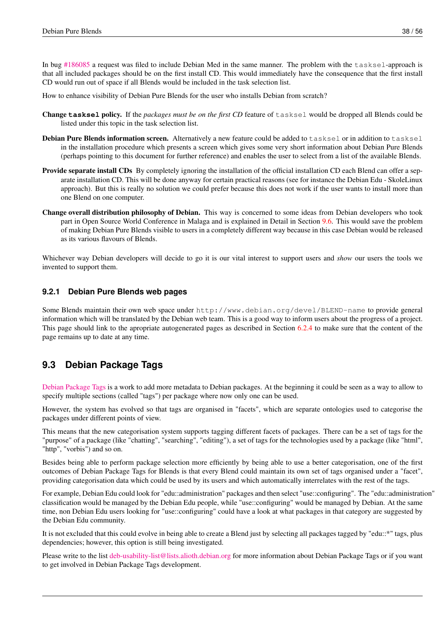In bug [#186085](http://bugs.debian.org/186085) a request was filed to include Debian Med in the same manner. The problem with the tasksel-approach is that all included packages should be on the first install CD. This would immediately have the consequence that the first install CD would run out of space if all Blends would be included in the task selection list.

How to enhance visibility of Debian Pure Blends for the user who installs Debian from scratch?

- Change **tasksel** policy. If the *packages must be on the first CD* feature of tasksel would be dropped all Blends could be listed under this topic in the task selection list.
- Debian Pure Blends information screen. Alternatively a new feature could be added to tasksel or in addition to tasksel in the installation procedure which presents a screen which gives some very short information about Debian Pure Blends (perhaps pointing to this document for further reference) and enables the user to select from a list of the available Blends.
- Provide separate install CDs By completely ignoring the installation of the official installation CD each Blend can offer a separate installation CD. This will be done anyway for certain practical reasons (see for instance the Debian Edu - SkoleLinux approach). But this is really no solution we could prefer because this does not work if the user wants to install more than one Blend on one computer.
- Change overall distribution philosophy of Debian. This way is concerned to some ideas from Debian developers who took part in Open Source World Conference in Malaga and is explained in Detail in Section [9.6.](#page-45-2) This would save the problem of making Debian Pure Blends visible to users in a completely different way because in this case Debian would be released as its various flavours of Blends.

Whichever way Debian developers will decide to go it is our vital interest to support users and *show* our users the tools we invented to support them.

#### <span id="page-44-0"></span>**9.2.1 Debian Pure Blends web pages**

Some Blends maintain their own web space under http://www.debian.org/devel/BLEND-name to provide general information which will be translated by the Debian web team. This is a good way to inform users about the progress of a project. This page should link to the apropriate autogenerated pages as described in Section [6.2.4](#page-29-1) to make sure that the content of the page remains up to date at any time.

# <span id="page-44-1"></span>**9.3 Debian Package Tags**

[Debian Package Tags](http://debtags.alioth.debian.org/) is a work to add more metadata to Debian packages. At the beginning it could be seen as a way to allow to specify multiple sections (called "tags") per package where now only one can be used.

However, the system has evolved so that tags are organised in "facets", which are separate ontologies used to categorise the packages under different points of view.

This means that the new categorisation system supports tagging different facets of packages. There can be a set of tags for the "purpose" of a package (like "chatting", "searching", "editing"), a set of tags for the technologies used by a package (like "html", "http", "vorbis") and so on.

Besides being able to perform package selection more efficiently by being able to use a better categorisation, one of the first outcomes of Debian Package Tags for Blends is that every Blend could maintain its own set of tags organised under a "facet", providing categorisation data which could be used by its users and which automatically interrelates with the rest of the tags.

For example, Debian Edu could look for "edu::administration" packages and then select "use::configuring". The "edu::administration" classification would be managed by the Debian Edu people, while "use::configuring" would be managed by Debian. At the same time, non Debian Edu users looking for "use::configuring" could have a look at what packages in that category are suggested by the Debian Edu community.

It is not excluded that this could evolve in being able to create a Blend just by selecting all packages tagged by "edu::\*" tags, plus dependencies; however, this option is still being investigated.

Please write to the list [deb-usability-list@lists.alioth.debian.org](mailto:deb-usability-list@lists.alioth.debian.org) for more information about Debian Package Tags or if you want to get involved in Debian Package Tags development.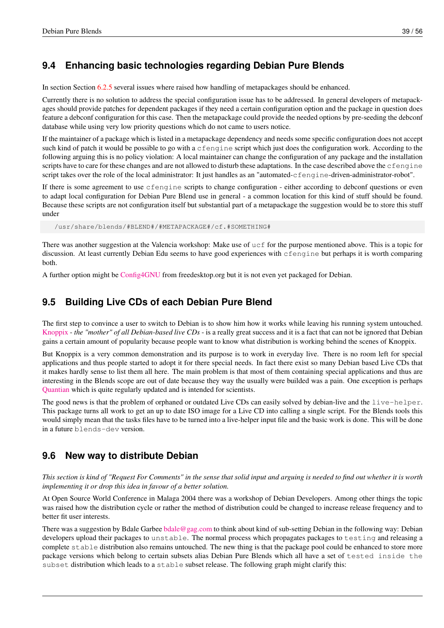# <span id="page-45-0"></span>**9.4 Enhancing basic technologies regarding Debian Pure Blends**

In section Section [6.2.5](#page-30-0) several issues where raised how handling of metapackages should be enhanced.

Currently there is no solution to address the special configuration issue has to be addressed. In general developers of metapackages should provide patches for dependent packages if they need a certain configuration option and the package in question does feature a debconf configuration for this case. Then the metapackage could provide the needed options by pre-seeding the debconf database while using very low priority questions which do not came to users notice.

If the maintainer of a package which is listed in a metapackage dependency and needs some specific configuration does not accept such kind of patch it would be possible to go with a cfengine script which just does the configuration work. According to the following arguing this is no policy violation: A local maintainer can change the configuration of any package and the installation scripts have to care for these changes and are not allowed to disturb these adaptations. In the case described above the cfengine script takes over the role of the local administrator: It just handles as an "automated-cfengine-driven-administrator-robot".

If there is some agreement to use cfengine scripts to change configuration - either according to debconf questions or even to adapt local configuration for Debian Pure Blend use in general - a common location for this kind of stuff should be found. Because these scripts are not configuration itself but substantial part of a metapackage the suggestion would be to store this stuff under

/usr/share/blends/#BLEND#/#METAPACKAGE#/cf.#SOMETHING#

There was another suggestion at the Valencia workshop: Make use of ucf for the purpose mentioned above. This is a topic for discussion. At least currently Debian Edu seems to have good experiences with cfengine but perhaps it is worth comparing both.

A further option might be [Config4GNU](http://freedesktop.org/Software/CFG) from freedesktop.org but it is not even yet packaged for Debian.

# <span id="page-45-1"></span>**9.5 Building Live CDs of each Debian Pure Blend**

The first step to convince a user to switch to Debian is to show him how it works while leaving his running system untouched. [Knoppix](http://www.knoppix.org/) - *the "mother" of all Debian-based live CDs* - is a really great success and it is a fact that can not be ignored that Debian gains a certain amount of popularity because people want to know what distribution is working behind the scenes of Knoppix.

But Knoppix is a very common demonstration and its purpose is to work in everyday live. There is no room left for special applications and thus people started to adopt it for there special needs. In fact there exist so many Debian based Live CDs that it makes hardly sense to list them all here. The main problem is that most of them containing special applications and thus are interesting in the Blends scope are out of date because they way the usually were builded was a pain. One exception is perhaps [Quantian](http://dirk.eddelbuettel.com/quantian.html) which is quite regularly updated and is intended for scientists.

The good news is that the problem of orphaned or outdated Live CDs can easily solved by debian-live and the  $\exists$ ive-helper. This package turns all work to get an up to date ISO image for a Live CD into calling a single script. For the Blends tools this would simply mean that the tasks files have to be turned into a live-helper input file and the basic work is done. This will be done in a future blends-dev version.

# <span id="page-45-2"></span>**9.6 New way to distribute Debian**

*This section is kind of "Request For Comments" in the sense that solid input and arguing is needed to find out whether it is worth implementing it or drop this idea in favour of a better solution.*

At Open Source World Conference in Malaga 2004 there was a workshop of Debian Developers. Among other things the topic was raised how the distribution cycle or rather the method of distribution could be changed to increase release frequency and to better fit user interests.

There was a suggestion by Bdale Garbee bdale @gag.com to think about kind of sub-setting Debian in the following way: Debian developers upload their packages to unstable. The normal process which propagates packages to testing and releasing a complete stable distribution also remains untouched. The new thing is that the package pool could be enhanced to store more package versions which belong to certain subsets alias Debian Pure Blends which all have a set of tested inside the subset distribution which leads to a stable subset release. The following graph might clarify this: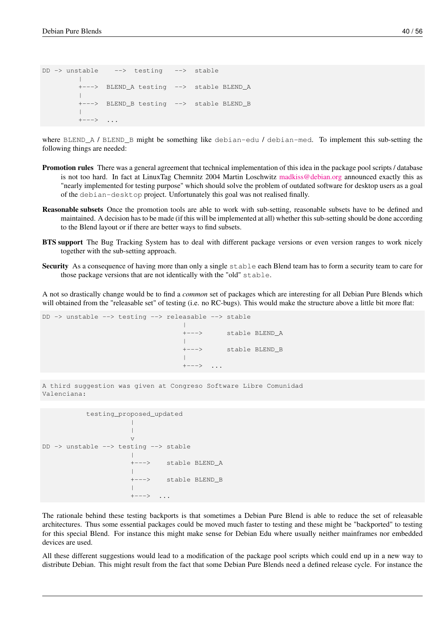```
DD -> unstable --> testing --> stable
         \blacksquare.<br>+---> BLEND A testing --> stable BLEND A
         \vert--> BLEND_B testing --> stable BLEND_B
         \vert+---> ...
```
where BLEND<sub>A</sub> / BLEND<sub>B</sub> might be something like debian-edu / debian-med. To implement this sub-setting the following things are needed:

- Promotion rules There was a general agreement that technical implementation of this idea in the package pool scripts / database is not too hard. In fact at LinuxTag Chemnitz 2004 Martin Loschwitz [madkiss@debian.org](mailto:madkiss@debian.org) announced exactly this as "nearly implemented for testing purpose" which should solve the problem of outdated software for desktop users as a goal of the debian-desktop project. Unfortunately this goal was not realised finally.
- Reasonable subsets Once the promotion tools are able to work with sub-setting, reasonable subsets have to be defined and maintained. A decision has to be made (if this will be implemented at all) whether this sub-setting should be done according to the Blend layout or if there are better ways to find subsets.
- BTS support The Bug Tracking System has to deal with different package versions or even version ranges to work nicely together with the sub-setting approach.
- Security As a consequence of having more than only a single stable each Blend team has to form a security team to care for those package versions that are not identically with the "old" stable.

A not so drastically change would be to find a *common* set of packages which are interesting for all Debian Pure Blends which will obtained from the "releasable set" of testing (i.e. no RC-bugs). This would make the structure above a little bit more flat:

```
DD -> unstable --> testing --> releasable --> stable
                                      \vert+---> stable BLEND_A
                                      \vert+---> stable BLEND_B
                                      \vert+\text{---} ...
```
A third suggestion was given at Congreso Software Libre Comunidad Valenciana:

```
testing_proposed_updated
                                                     \vert\begin{array}{c} \hline \end{array}\overline{v}DD -> unstable --> testing --> stable
                                                     \begin{array}{c} \hline \end{array}+---> stable BLEND_A
                                                     \begin{array}{c} \hline \end{array}+---> stable BLEND_B
                                                     \begin{array}{c} \hline \end{array}\leftarrow \leftarrow \rightarrow ...
```
The rationale behind these testing backports is that sometimes a Debian Pure Blend is able to reduce the set of releasable architectures. Thus some essential packages could be moved much faster to testing and these might be "backported" to testing for this special Blend. For instance this might make sense for Debian Edu where usually neither mainframes nor embedded devices are used.

All these different suggestions would lead to a modification of the package pool scripts which could end up in a new way to distribute Debian. This might result from the fact that some Debian Pure Blends need a defined release cycle. For instance the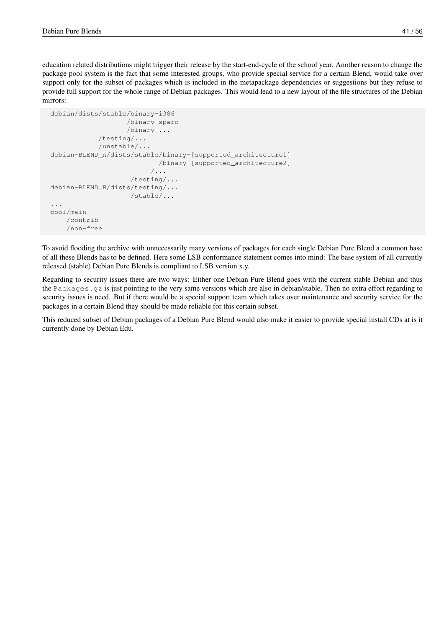education related distributions might trigger their release by the start-end-cycle of the school year. Another reason to change the package pool system is the fact that some interested groups, who provide special service for a certain Blend, would take over support only for the subset of packages which is included in the metapackage dependencies or suggestions but they refuse to provide full support for the whole range of Debian packages. This would lead to a new layout of the file structures of the Debian mirrors:

```
debian/dists/stable/binary-i386
                   /binary-sparc
                   /binary-...
            /testing/...
            /unstable/...
debian-BLEND_A/dists/stable/binary-[supported_architecture1]
                            /binary-[supported_architecture2]
                          /...
                    /testing/...
debian-BLEND_B/dists/testing/...
                    /stable/...
...
pool/main
    /contrib
    /non-free
```
To avoid flooding the archive with unnecessarily many versions of packages for each single Debian Pure Blend a common base of all these Blends has to be defined. Here some LSB conformance statement comes into mind: The base system of all currently released (stable) Debian Pure Blends is compliant to LSB version x.y.

Regarding to security issues there are two ways: Either one Debian Pure Blend goes with the current stable Debian and thus the Packages.gz is just pointing to the very same versions which are also in debian/stable. Then no extra effort regarding to security issues is need. But if there would be a special support team which takes over maintenance and security service for the packages in a certain Blend they should be made reliable for this certain subset.

This reduced subset of Debian packages of a Debian Pure Blend would also make it easier to provide special install CDs at is it currently done by Debian Edu.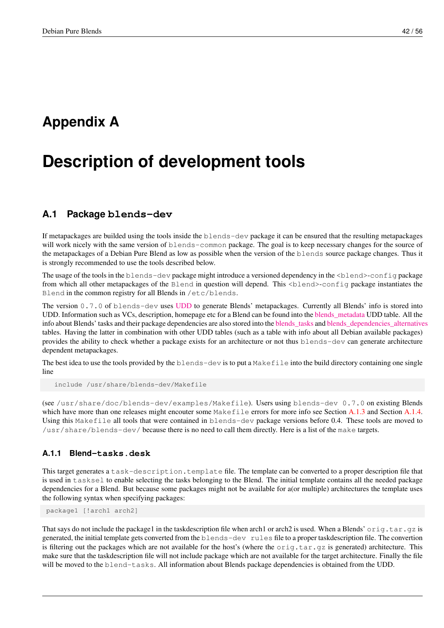# <span id="page-48-0"></span>**Appendix A**

# **Description of development tools**

# <span id="page-48-1"></span>**A.1 Package blends-dev**

If metapackages are builded using the tools inside the blends-dev package it can be ensured that the resulting metapackages will work nicely with the same version of blends-common package. The goal is to keep necessary changes for the source of the metapackages of a Debian Pure Blend as low as possible when the version of the blends source package changes. Thus it is strongly recommended to use the tools described below.

The usage of the tools in the blends-dev package might introduce a versioned dependency in the <br/>blend>-config package from which all other metapackages of the Blend in question will depend. This <blend>-config package instantiates the Blend in the common registry for all Blends in /etc/blends.

The version 0.7.0 of blends-dev uses [UDD](https://wiki.debian.org/UltimateDebianDatabase) to generate Blends' metapackages. Currently all Blends' info is stored into UDD. Information such as VCs, description, homepage etc for a Blend can be found into the [blends\\_metadata](http://udd.debian.org/schema/udd.html#public.table.blends-metadata) UDD table. All the info about Blends' tasks and their package dependencies are also stored into the [blends\\_tasks](http://udd.debian.org/schema/udd.html#public.table.blends-tasks) and [blends\\_dependencies\\_alternatives](http://udd.debian.org/schema/udd.html#public.table.blends-dependencies-alternatives) tables. Having the latter in combination with other UDD tables (such as a table with info about all Debian available packages) provides the ability to check whether a package exists for an architecture or not thus blends-dev can generate architecture dependent metapackages.

The best idea to use the tools provided by the blends-dev is to put a Makefile into the build directory containing one single line

```
include /usr/share/blends-dev/Makefile
```
(see /usr/share/doc/blends-dev/examples/Makefile). Users using blends-dev 0.7.0 on existing Blends which have more than one releases might encouter some Makefile errors for more info see Section [A.1.3](#page-50-0) and Section [A.1.4.](#page-50-1) Using this Makefile all tools that were contained in blends-dev package versions before 0.4. These tools are moved to /usr/share/blends-dev/ because there is no need to call them directly. Here is a list of the make targets.

#### <span id="page-48-2"></span>**A.1.1 Blend-tasks.desk**

This target generates a task-description.template file. The template can be converted to a proper description file that is used in tasksel to enable selecting the tasks belonging to the Blend. The initial template contains all the needed package dependencies for a Blend. But because some packages might not be available for a(or multiple) architectures the template uses the following syntax when specifying packages:

package1 [!arch1 arch2]

That says do not include the package1 in the taskdescription file when arch1 or arch2 is used. When a Blends'  $\sigma$ rig.tar.gz is generated, the initial template gets converted from the blends-dev rules file to a proper taskdescription file. The convertion is filtering out the packages which are not available for the host's (where the orig.tar.gz is generated) architecture. This make sure that the taskdescription file will not include package which are not available for the target architecture. Finally the file will be moved to the blend-tasks. All information about Blends package dependencies is obtained from the UDD.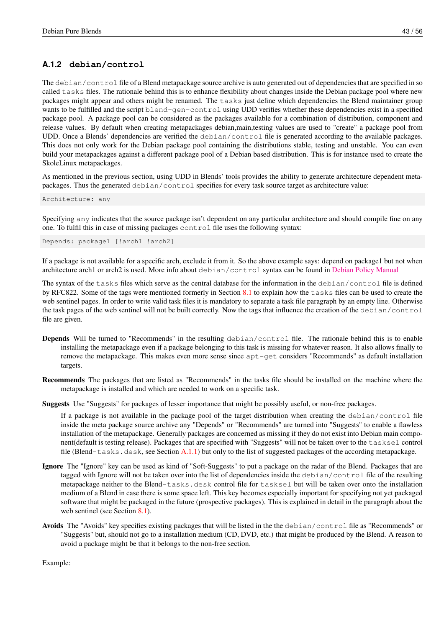### <span id="page-49-0"></span>**A.1.2 debian/control**

The debian/control file of a Blend metapackage source archive is auto generated out of dependencies that are specified in so called tasks files. The rationale behind this is to enhance flexibility about changes inside the Debian package pool where new packages might appear and others might be renamed. The tasks just define which dependencies the Blend maintainer group wants to be fulfilled and the script blend-gen-control using UDD verifies whether these dependencies exist in a specified package pool. A package pool can be considered as the packages available for a combination of distribution, component and release values. By default when creating metapackages debian,main,testing values are used to "create" a package pool from UDD. Once a Blends' dependencies are verified the debian/control file is generated according to the available packages. This does not only work for the Debian package pool containing the distributions stable, testing and unstable. You can even build your metapackages against a different package pool of a Debian based distribution. This is for instance used to create the SkoleLinux metapackages.

As mentioned in the previous section, using UDD in Blends' tools provides the ability to generate architecture dependent metapackages. Thus the generated debian/control specifies for every task source target as architecture value:

Architecture: any

Specifying any indicates that the source package isn't dependent on any particular architecture and should compile fine on any one. To fulfil this in case of missing packages control file uses the following syntax:

Depends: package1 [!arch1 !arch2]

If a package is not available for a specific arch, exclude it from it. So the above example says: depend on package1 but not when architecture arch1 or arch2 is used. More info about debian/control syntax can be found in [Debian Policy Manual](http://www.debian.org/doc/debian-policy/)

The syntax of the tasks files which serve as the central database for the information in the debian/control file is defined by RFC822. Some of the tags were mentioned formerly in Section [8.1](#page-39-1) to explain how the tasks files can be used to create the web sentinel pages. In order to write valid task files it is mandatory to separate a task file paragraph by an empty line. Otherwise the task pages of the web sentinel will not be built correctly. Now the tags that influence the creation of the debian/control file are given.

- Depends Will be turned to "Recommends" in the resulting debian/control file. The rationale behind this is to enable installing the metapackage even if a package belonging to this task is missing for whatever reason. It also allows finally to remove the metapackage. This makes even more sense since apt-get considers "Recommends" as default installation targets.
- Recommends The packages that are listed as "Recommends" in the tasks file should be installed on the machine where the metapackage is installed and which are needed to work on a specific task.

Suggests Use "Suggests" for packages of lesser importance that might be possibly useful, or non-free packages.

If a package is not available in the package pool of the target distribution when creating the debian/control file inside the meta package source archive any "Depends" or "Recommends" are turned into "Suggests" to enable a flawless installation of the metapackage. Generally packages are concerned as missing if they do not exist into Debian main component(default is testing release). Packages that are specified with "Suggests" will not be taken over to the tasksel control file (Blend-tasks.desk, see Section  $A.1.1$ ) but only to the list of suggested packages of the according metapackage.

- Ignore The "Ignore" key can be used as kind of "Soft-Suggests" to put a package on the radar of the Blend. Packages that are tagged with Ignore will not be taken over into the list of dependencies inside the debian/control file of the resulting metapackage neither to the Blend-tasks.desk control file for tasksel but will be taken over onto the installation medium of a Blend in case there is some space left. This key becomes especially important for specifying not yet packaged software that might be packaged in the future (prospective packages). This is explained in detail in the paragraph about the web sentinel (see Section [8.1\)](#page-39-1).
- Avoids The "Avoids" key specifies existing packages that will be listed in the the debian/control file as "Recommends" or "Suggests" but, should not go to a installation medium (CD, DVD, etc.) that might be produced by the Blend. A reason to avoid a package might be that it belongs to the non-free section.

Example: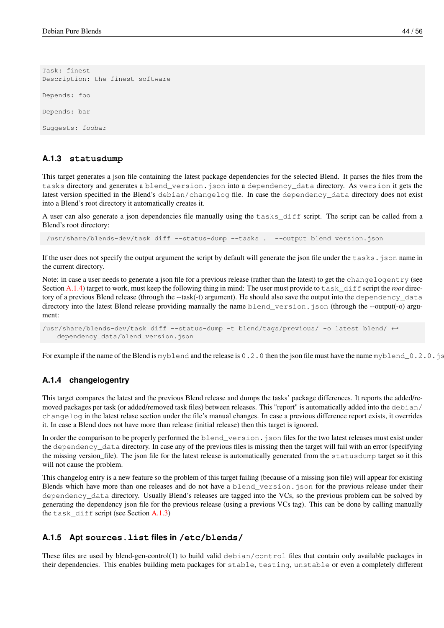Task: finest Description: the finest software Depends: foo Depends: bar Suggests: foobar

#### <span id="page-50-0"></span>**A.1.3 statusdump**

This target generates a json file containing the latest package dependencies for the selected Blend. It parses the files from the tasks directory and generates a blend\_version.json into a dependency\_data directory. As version it gets the latest version specified in the Blend's debian/changelog file. In case the dependency\_data directory does not exist into a Blend's root directory it automatically creates it.

A user can also generate a json dependencies file manually using the tasks diff script. The script can be called from a Blend's root directory:

/usr/share/blends-dev/task\_diff --status-dump --tasks . --output blend\_version.json

If the user does not specify the output argument the script by default will generate the json file under the tasks. json name in the current directory.

Note: in case a user needs to generate a json file for a previous release (rather than the latest) to get the changelogentry (see Section [A.1.4\)](#page-50-1) target to work, must keep the following thing in mind: The user must provide to task\_diff script the *root* directory of a previous Blend release (through the --task(-t) argument). He should also save the output into the dependency\_data directory into the latest Blend release providing manually the name blend\_version.json (through the --output(-o) argument:

```
/usr/share/blends-dev/task_diff --status-dump -t blend/tags/previous/ -o latest_blend/ ←-
   dependency_data/blend_version.json
```
For example if the name of the Blend is myblend and the release is 0.2.0 then the ison file must have the name myblend  $0.2.0$ .

#### <span id="page-50-1"></span>**A.1.4 changelogentry**

This target compares the latest and the previous Blend release and dumps the tasks' package differences. It reports the added/removed packages per task (or added/removed task files) between releases. This "report" is automatically added into the debian/ changelog in the latest relase section under the file's manual changes. In case a previous difference report exists, it overrides it. In case a Blend does not have more than release (initial release) then this target is ignored.

In order the comparison to be properly performed the blend version. json files for the two latest releases must exist under the dependency\_data directory. In case any of the previous files is missing then the target will fail with an error (specifying the missing version file). The json file for the latest release is automatically generated from the statusdump target so it this will not cause the problem.

This changelog entry is a new feature so the problem of this target failing (because of a missing json file) will appear for existing Blends which have more than one releases and do not have a blend\_version.json for the previous release under their dependency data directory. Usually Blend's releases are tagged into the VCs, so the previous problem can be solved by generating the dependency json file for the previous release (using a previous VCs tag). This can be done by calling manually the task\_diff script (see Section [A.1.3\)](#page-50-0)

#### <span id="page-50-2"></span>**A.1.5 Apt sources.list files in /etc/blends/**

These files are used by blend-gen-control(1) to build valid debian/control files that contain only available packages in their dependencies. This enables building meta packages for stable, testing, unstable or even a completely different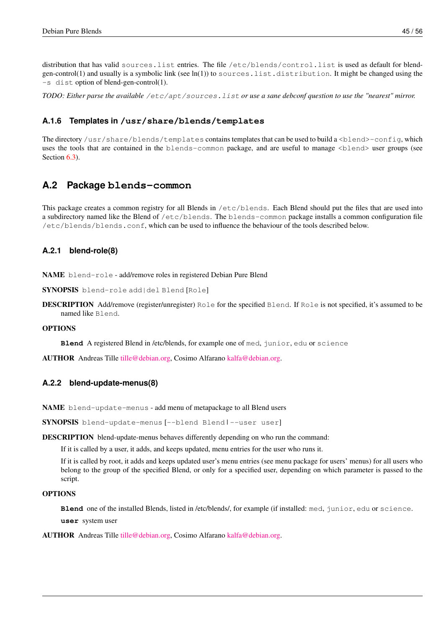distribution that has valid sources.list entries. The file /etc/blends/control.list is used as default for blendgen-control(1) and usually is a symbolic link (see  $ln(1)$ ) to sources.list.distribution. It might be changed using the -s dist option of blend-gen-control(1).

*TODO: Either parse the available* /etc/apt/sources.list *or use a sane debconf question to use the "nearest" mirror.*

### <span id="page-51-0"></span>**A.1.6 Templates in /usr/share/blends/templates**

The directory  $\sqrt{usr/share/blends/templates}$  contains templates that can be used to build a  $\langle blend \rangle$ -config, which uses the tools that are contained in the blends-common package, and are useful to manage  $\langle$ blend $\rangle$  user groups (see Section  $6.3$ ).

# <span id="page-51-1"></span>**A.2 Package blends-common**

This package creates a common registry for all Blends in /etc/blends. Each Blend should put the files that are used into a subdirectory named like the Blend of /etc/blends. The blends-common package installs a common configuration file /etc/blends/blends.conf, which can be used to influence the behaviour of the tools described below.

#### <span id="page-51-2"></span>**A.2.1 blend-role(8)**

NAME blend-role - add/remove roles in registered Debian Pure Blend

SYNOPSIS blend-role add|del Blend [Role]

DESCRIPTION Add/remove (register/unregister) Role for the specified Blend. If Role is not specified, it's assumed to be named like Blend.

#### OPTIONS

**Blend** A registered Blend in /etc/blends, for example one of med, junior, edu or science

AUTHOR Andreas Tille [tille@debian.org,](mailto:tille@debian.org) Cosimo Alfarano [kalfa@debian.org.](mailto:kalfa@debian.org)

#### <span id="page-51-3"></span>**A.2.2 blend-update-menus(8)**

NAME blend-update-menus - add menu of metapackage to all Blend users

SYNOPSIS blend-update-menus [--blend Blend | --user user]

DESCRIPTION blend-update-menus behaves differently depending on who run the command:

If it is called by a user, it adds, and keeps updated, menu entries for the user who runs it.

If it is called by root, it adds and keeps updated user's menu entries (see menu package for users' menus) for all users who belong to the group of the specified Blend, or only for a specified user, depending on which parameter is passed to the script.

#### OPTIONS

**Blend** one of the installed Blends, listed in /etc/blends/, for example (if installed: med, junior, edu or science. **user** system user

AUTHOR Andreas Tille [tille@debian.org,](mailto:tille@debian.org) Cosimo Alfarano [kalfa@debian.org.](mailto:kalfa@debian.org)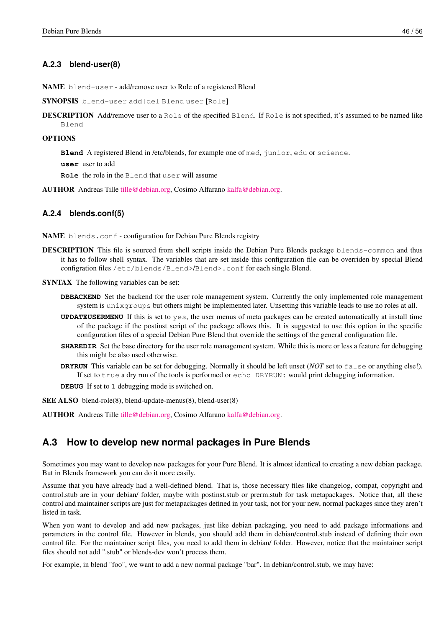#### <span id="page-52-0"></span>**A.2.3 blend-user(8)**

NAME blend-user - add/remove user to Role of a registered Blend

SYNOPSIS blend-user add|del Blend user [Role]

DESCRIPTION Add/remove user to a Role of the specified Blend. If Role is not specified, it's assumed to be named like Blend

#### OPTIONS

**Blend** A registered Blend in /etc/blends, for example one of med, junior, edu or science.

**user** user to add

**Role** the role in the Blend that user will assume

AUTHOR Andreas Tille [tille@debian.org,](mailto:tille@debian.org) Cosimo Alfarano [kalfa@debian.org.](mailto:kalfa@debian.org)

#### <span id="page-52-1"></span>**A.2.4 blends.conf(5)**

NAME blends.conf - configuration for Debian Pure Blends registry

- DESCRIPTION This file is sourced from shell scripts inside the Debian Pure Blends package blends-common and thus it has to follow shell syntax. The variables that are set inside this configuration file can be overriden by special Blend configration files /etc/blends/Blend>/Blend>.conf for each single Blend.
- SYNTAX The following variables can be set:
	- **DBBACKEND** Set the backend for the user role management system. Currently the only implemented role management system is unixgroups but others might be implemented later. Unsetting this variable leads to use no roles at all.
	- **UPDATEUSERMENU** If this is set to yes, the user menus of meta packages can be created automatically at install time of the package if the postinst script of the package allows this. It is suggested to use this option in the specific configuration files of a special Debian Pure Blend that override the settings of the general configuration file.
	- **SHAREDIR** Set the base directory for the user role management system. While this is more or less a feature for debugging this might be also used otherwise.
	- **DRYRUN** This variable can be set for debugging. Normally it should be left unset (*NOT* set to false or anything else!). If set to true a dry run of the tools is performed or echo DRYRUN: would print debugging information.

**DEBUG** If set to 1 debugging mode is switched on.

SEE ALSO blend-role(8), blend-update-menus(8), blend-user(8)

AUTHOR Andreas Tille [tille@debian.org,](mailto:tille@debian.org) Cosimo Alfarano [kalfa@debian.org.](mailto:kalfa@debian.org)

# <span id="page-52-2"></span>**A.3 How to develop new normal packages in Pure Blends**

Sometimes you may want to develop new packages for your Pure Blend. It is almost identical to creating a new debian package. But in Blends framework you can do it more easily.

Assume that you have already had a well-defined blend. That is, those necessary files like changelog, compat, copyright and control.stub are in your debian/ folder, maybe with postinst.stub or prerm.stub for task metapackages. Notice that, all these control and maintainer scripts are just for metapackages defined in your task, not for your new, normal packages since they aren't listed in task.

When you want to develop and add new packages, just like debian packaging, you need to add package informations and parameters in the control file. However in blends, you should add them in debian/control.stub instead of defining their own control file. For the maintainer script files, you need to add them in debian/ folder. However, notice that the maintainer script files should not add ".stub" or blends-dev won't process them.

For example, in blend "foo", we want to add a new normal package "bar". In debian/control.stub, we may have: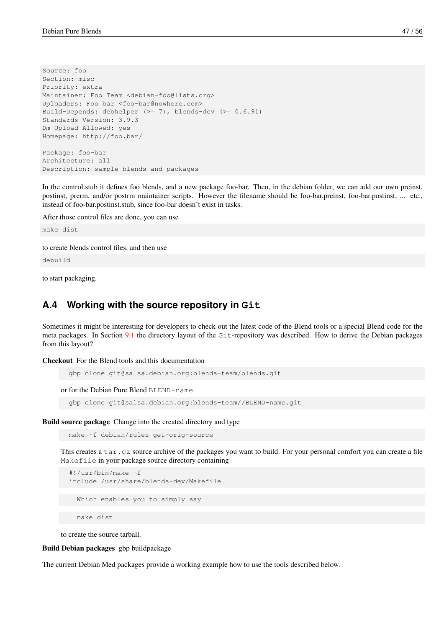```
Source: foo
Section: misc
Priority: extra
Maintainer: Foo Team <debian-foo@lists.org>
Uploaders: Foo bar <foo-bar@nowhere.com>
Build-Depends: debhelper (>= 7), blends-dev (>= 0.6.91)
Standards-Version: 3.9.3
Dm-Upload-Allowed: yes
Homepage: http://foo.bar/
Package: foo-bar
Architecture: all
Description: sample blends and packages
```
In the control.stub it defines foo blends, and a new package foo-bar. Then, in the debian folder, we can add our own preinst, postinst, prerm, and/or postrm maintainer scripts. However the filename should be foo-bar.preinst, foo-bar.postinst, ... etc., instead of foo-bar.postinst.stub, since foo-bar doesn't exist in tasks.

After those control files are done, you can use

make dist

to create blends control files, and then use

debuild

to start packaging.

# <span id="page-53-0"></span>**A.4 Working with the source repository in Git**

Sometimes it might be interesting for developers to check out the latest code of the Blend tools or a special Blend code for the meta packages. In Section [9.1](#page-43-1) the directory layout of the Git-repository was described. How to derive the Debian packages from this layout?

Checkout For the Blend tools and this documentation

```
gbp clone git@salsa.debian.org:blends-team/blends.git
```
or for the Debian Pure Blend BLEND-name

gbp clone git@salsa.debian.org:blends-team//BLEND-name.git

Build source package Change into the created directory and type

make -f debian/rules get-orig-source

This creates a tar. qz source archive of the packages you want to build. For your personal comfort you can create a file Makefile in your package source directory containing

```
#!/usr/bin/make -f
include /usr/share/blends-dev/Makefile
```
Which enables you to simply say

make dist

to create the source tarball.

Build Debian packages gbp buildpackage

The current Debian Med packages provide a working example how to use the tools described below.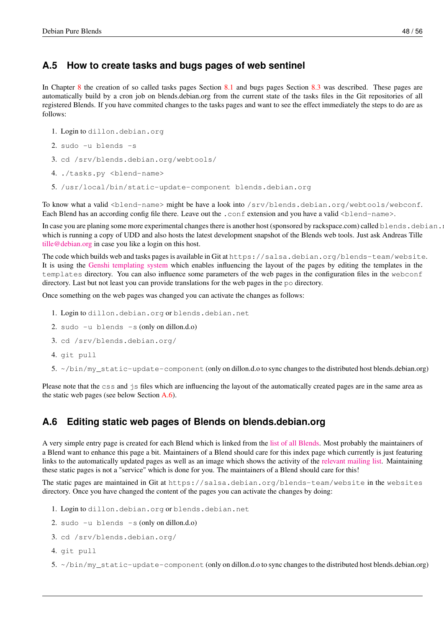### <span id="page-54-0"></span>**A.5 How to create tasks and bugs pages of web sentinel**

In Chapter [8](#page-39-0) the creation of so called tasks pages Section [8.1](#page-39-1) and bugs pages Section [8.3](#page-42-0) was described. These pages are automatically build by a cron job on blends.debian.org from the current state of the tasks files in the Git repositories of all registered Blends. If you have commited changes to the tasks pages and want to see the effect immediately the steps to do are as follows:

```
1. Login to dillon.debian.org
```

```
2. sudo -u blends -s
```
- 3. cd /srv/blends.debian.org/webtools/
- 4. ./tasks.py <blend-name>
- 5. /usr/local/bin/static-update-component blends.debian.org

To know what a valid <blend-name> might be have a look into /srv/blends.debian.org/webtools/webconf. Each Blend has an according config file there. Leave out the . confiextension and you have a valid <br/>blend-name>.

In case you are planing some more experimental changes there is another host (sponsored by rackspace.com) called blends.debian. which is running a copy of UDD and also hosts the latest development snapshot of the Blends web tools. Just ask Andreas Tille [tille@debian.org](mailto:tille@debian.org) in case you like a login on this host.

The code which builds web and tasks pages is available in Git at https://salsa.debian.org/blends-team/website. It is using the [Genshi templating system](http://genshi.edgewall.org/) which enables influencing the layout of the pages by editing the templates in the templates directory. You can also influence some parameters of the web pages in the configuration files in the webconf directory. Last but not least you can provide translations for the web pages in the po directory.

Once something on the web pages was changed you can activate the changes as follows:

- 1. Login to dillon.debian.org or blends.debian.net
- 2. sudo -u blends -s (only on dillon.d.o)
- 3. cd /srv/blends.debian.org/
- 4. git pull
- 5. ~/bin/my\_static-update-component (only on dillon.d.o to sync changes to the distributed host blends.debian.org)

Please note that the css and js files which are influencing the layout of the automatically created pages are in the same area as the static web pages (see below Section [A.6\)](#page-54-1).

# <span id="page-54-1"></span>**A.6 Editing static web pages of Blends on blends.debian.org**

A very simple entry page is created for each Blend which is linked from the [list of all Blends.](http://blends.debian.org/) Most probably the maintainers of a Blend want to enhance this page a bit. Maintainers of a Blend should care for this index page which currently is just featuring links to the automatically updated pages as well as an image which shows the activity of the [relevant mailing list.](http://people.debian.org/~tille/talks/200808_lightning/liststats.pdf) Maintaining these static pages is not a "service" which is done for you. The maintainers of a Blend should care for this!

The static pages are maintained in Git at https://salsa.debian.org/blends-team/website in the websites directory. Once you have changed the content of the pages you can activate the changes by doing:

- 1. Login to dillon.debian.org or blends.debian.net
- 2. sudo -u blends -s (only on dillon.d.o)
- 3. cd /srv/blends.debian.org/
- 4. git pull
- 5. ~/bin/my\_static-update-component (only on dillon.d.o to sync changes to the distributed host blends.debian.org)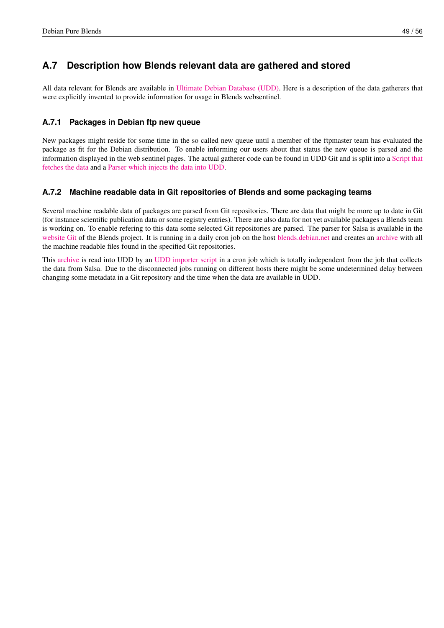# <span id="page-55-0"></span>**A.7 Description how Blends relevant data are gathered and stored**

All data relevant for Blends are available in [Ultimate Debian Database \(UDD\).](https://wiki.debian.org/UltimateDebianDatabase) Here is a description of the data gatherers that were explicitly invented to provide information for usage in Blends websentinel.

### <span id="page-55-1"></span>**A.7.1 Packages in Debian ftp new queue**

New packages might reside for some time in the so called new queue until a member of the ftpmaster team has evaluated the package as fit for the Debian distribution. To enable informing our users about that status the new queue is parsed and the information displayed in the web sentinel pages. The actual gatherer code can be found in UDD Git and is split into a [Script that](https://salsa.debian.org/qa/udd/blob/master/scripts/fetch_ftpnew.sh) [fetches the data](https://salsa.debian.org/qa/udd/blob/master/scripts/fetch_ftpnew.sh) and a [Parser which injects the data into UDD.](https://salsa.debian.org/qa/udd/blob/master/udd/ftpnew_gatherer.py)

### <span id="page-55-2"></span>**A.7.2 Machine readable data in Git repositories of Blends and some packaging teams**

Several machine readable data of packages are parsed from Git repositories. There are data that might be more up to date in Git (for instance scientific publication data or some registry entries). There are also data for not yet available packages a Blends team is working on. To enable refering to this data some selected Git repositories are parsed. The parser for Salsa is available in the [website Git](https://salsa.debian.org/blends-team/website/blob/master/misc/machine_readable/fetch-machine-readable_salsa.py) of the Blends project. It is running in a daily cron job on the host [blends.debian.net](http://blends.debian.net) and creates an [archive](http://blends.debian.net/_machine-readable/machine-readable.tar.xz) with all the machine readable files found in the specified Git repositories.

This [archive](http://blends.debian.net/_machine-readable/machine-readable.tar.xz) is read into UDD by an [UDD importer script](https://salsa.debian.org/qa/udd/blob/master/udd/blends_prospective_gatherer.py) in a cron job which is totally independent from the job that collects the data from Salsa. Due to the disconnected jobs running on different hosts there might be some undetermined delay between changing some metadata in a Git repository and the time when the data are available in UDD.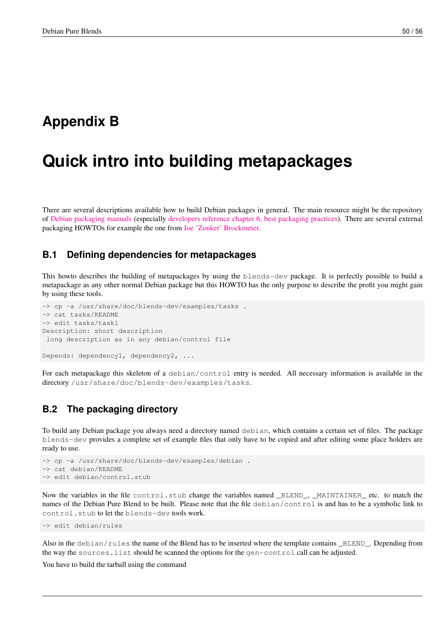# <span id="page-56-0"></span>**Appendix B**

# **Quick intro into building metapackages**

There are several descriptions available how to build Debian packages in general. The main resource might be the repository of [Debian packaging manuals](http://www.debian.org/doc/packaging-manuals/) (especially [developers reference chapter 6, best packaging practices\)](http://www.debian.org/doc/packaging-manuals/developers-reference/best-pkging-practices.html). There are several external packaging HOWTOs for example the one from [Joe 'Zonker' Brockmeier.](http://www-106.ibm.com/developerworks/linux/library/l-debpkg.html)

### <span id="page-56-1"></span>**B.1 Defining dependencies for metapackages**

This howto describes the building of metapackages by using the blends-dev package. It is perfectly possible to build a metapackage as any other normal Debian package but this HOWTO has the only purpose to describe the profit you might gain by using these tools.

```
~> cp -a /usr/share/doc/blends-dev/examples/tasks .
~> cat tasks/README
~> edit tasks/task1
Description: short description
long description as in any debian/control file
Depends: dependency1, dependency2, ...
```
For each metapackage this skeleton of a debian/control entry is needed. All necessary information is available in the directory /usr/share/doc/blends-dev/examples/tasks.

### <span id="page-56-2"></span>**B.2 The packaging directory**

To build any Debian package you always need a directory named debian, which contains a certain set of files. The package blends-dev provides a complete set of example files that only have to be copied and after editing some place holders are ready to use.

```
~> cp -a /usr/share/doc/blends-dev/examples/debian .
~> cat debian/README
~> edit debian/control.stub
```
Now the variables in the file control.stub change the variables named \_BLEND\_, \_MAINTAINER\_ etc. to match the names of the Debian Pure Blend to be built. Please note that the file debian/control is and has to be a symbolic link to control.stub to let the blends-dev tools work.

~> edit debian/rules

Also in the debian/rules the name of the Blend has to be inserted where the template contains \_BLEND\_. Depending from the way the sources.list should be scanned the options for the gen-control call can be adjusted.

You have to build the tarball using the command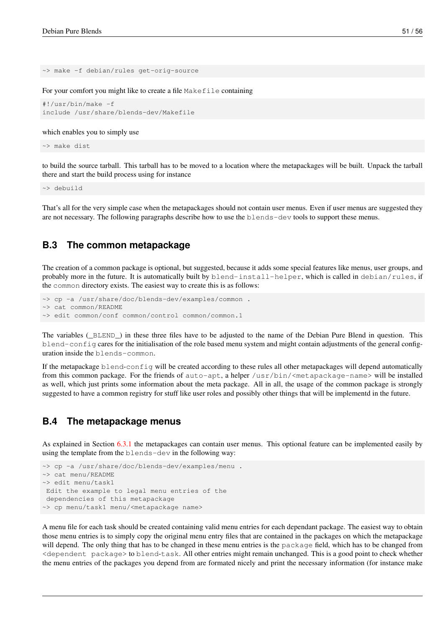~> make -f debian/rules get-orig-source

For your comfort you might like to create a file Makefile containing

```
#!/usr/bin/make -f
include /usr/share/blends-dev/Makefile
```
which enables you to simply use

~> make dist

to build the source tarball. This tarball has to be moved to a location where the metapackages will be built. Unpack the tarball there and start the build process using for instance

~> debuild

That's all for the very simple case when the metapackages should not contain user menus. Even if user menus are suggested they are not necessary. The following paragraphs describe how to use the blends-dev tools to support these menus.

#### <span id="page-57-0"></span>**B.3 The common metapackage**

The creation of a common package is optional, but suggested, because it adds some special features like menus, user groups, and probably more in the future. It is automatically built by blend-install-helper, which is called in debian/rules, if the common directory exists. The easiest way to create this is as follows:

```
~> cp -a /usr/share/doc/blends-dev/examples/common .
~> cat common/README
~> edit common/conf common/control common/common.1
```
The variables (\_BLEND\_) in these three files have to be adjusted to the name of the Debian Pure Blend in question. This blend-config cares for the initialisation of the role based menu system and might contain adjustments of the general configuration inside the blends-common.

If the metapackage blend-config will be created according to these rules all other metapackages will depend automatically from this common package. For the friends of auto-apt, a helper /usr/bin/<metapackage-name> will be installed as well, which just prints some information about the meta package. All in all, the usage of the common package is strongly suggested to have a common registry for stuff like user roles and possibly other things that will be implementd in the future.

#### <span id="page-57-1"></span>**B.4 The metapackage menus**

As explained in Section [6.3.1](#page-31-1) the metapackages can contain user menus. This optional feature can be implemented easily by using the template from the blends-dev in the following way:

```
~> cp -a /usr/share/doc/blends-dev/examples/menu .
~> cat menu/README
~> edit menu/task1
Edit the example to legal menu entries of the
dependencies of this metapackage
~> cp menu/task1 menu/<metapackage name>
```
A menu file for each task should be created containing valid menu entries for each dependant package. The easiest way to obtain those menu entries is to simply copy the original menu entry files that are contained in the packages on which the metapackage will depend. The only thing that has to be changed in these menu entries is the package field, which has to be changed from <dependent package> to blend-task. All other entries might remain unchanged. This is a good point to check whether the menu entries of the packages you depend from are formated nicely and print the necessary information (for instance make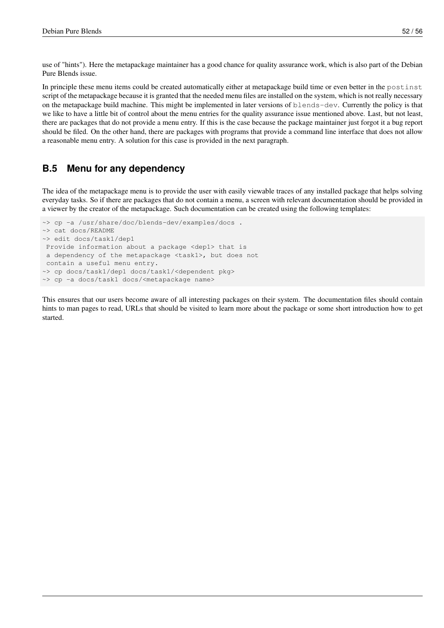use of "hints"). Here the metapackage maintainer has a good chance for quality assurance work, which is also part of the Debian Pure Blends issue.

In principle these menu items could be created automatically either at metapackage build time or even better in the postinst script of the metapackage because it is granted that the needed menu files are installed on the system, which is not really necessary on the metapackage build machine. This might be implemented in later versions of blends-dev. Currently the policy is that we like to have a little bit of control about the menu entries for the quality assurance issue mentioned above. Last, but not least, there are packages that do not provide a menu entry. If this is the case because the package maintainer just forgot it a bug report should be filed. On the other hand, there are packages with programs that provide a command line interface that does not allow a reasonable menu entry. A solution for this case is provided in the next paragraph.

# <span id="page-58-0"></span>**B.5 Menu for any dependency**

The idea of the metapackage menu is to provide the user with easily viewable traces of any installed package that helps solving everyday tasks. So if there are packages that do not contain a menu, a screen with relevant documentation should be provided in a viewer by the creator of the metapackage. Such documentation can be created using the following templates:

```
~> cp -a /usr/share/doc/blends-dev/examples/docs .
~> cat docs/README
~> edit docs/task1/dep1
Provide information about a package <dep1> that is
a dependency of the metapackage <task1>, but does not
contain a useful menu entry.
~> cp docs/task1/dep1 docs/task1/<dependent pkg>
~> cp -a docs/task1 docs/<metapackage name>
```
This ensures that our users become aware of all interesting packages on their system. The documentation files should contain hints to man pages to read, URLs that should be visited to learn more about the package or some short introduction how to get started.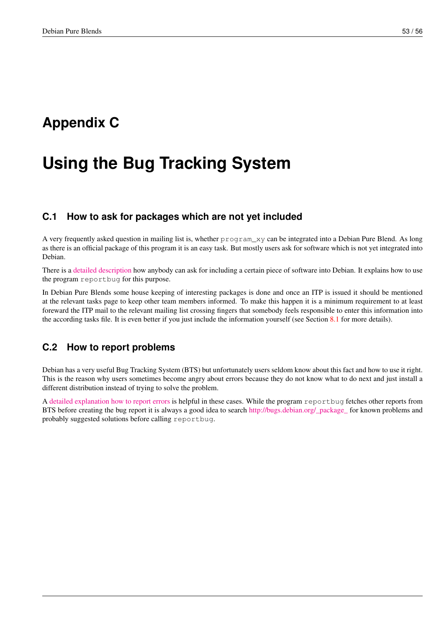# <span id="page-59-0"></span>**Appendix C**

# **Using the Bug Tracking System**

# <span id="page-59-1"></span>**C.1 How to ask for packages which are not yet included**

A very frequently asked question in mailing list is, whether program\_xy can be integrated into a Debian Pure Blend. As long as there is an official package of this program it is an easy task. But mostly users ask for software which is not yet integrated into Debian.

There is a [detailed description](http://www.debian.org/devel/wnpp/#l1) how anybody can ask for including a certain piece of software into Debian. It explains how to use the program reportbug for this purpose.

In Debian Pure Blends some house keeping of interesting packages is done and once an ITP is issued it should be mentioned at the relevant tasks page to keep other team members informed. To make this happen it is a minimum requirement to at least foreward the ITP mail to the relevant mailing list crossing fingers that somebody feels responsible to enter this information into the according tasks file. It is even better if you just include the information yourself (see Section [8.1](#page-39-1) for more details).

### <span id="page-59-2"></span>**C.2 How to report problems**

Debian has a very useful Bug Tracking System (BTS) but unfortunately users seldom know about this fact and how to use it right. This is the reason why users sometimes become angry about errors because they do not know what to do next and just install a different distribution instead of trying to solve the problem.

A [detailed explanation how to report errors](http://www.debian.org/Bugs/Reporting) is helpful in these cases. While the program reportbug fetches other reports from BTS before creating the bug report it is always a good idea to search [http://bugs.debian.org/\\_package\\_](http://bugs.debian.org) for known problems and probably suggested solutions before calling reportbug.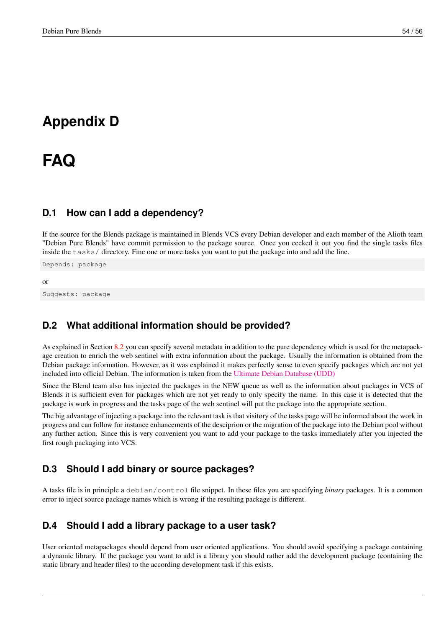# <span id="page-60-0"></span>**Appendix D**

# **FAQ**

### <span id="page-60-1"></span>**D.1 How can I add a dependency?**

If the source for the Blends package is maintained in Blends VCS every Debian developer and each member of the Alioth team "Debian Pure Blends" have commit permission to the package source. Once you cecked it out you find the single tasks files inside the tasks/ directory. Fine one or more tasks you want to put the package into and add the line.

Depends: package

#### or

Suggests: package

### <span id="page-60-2"></span>**D.2 What additional information should be provided?**

As explained in Section [8.2](#page-39-2) you can specify several metadata in addition to the pure dependency which is used for the metapackage creation to enrich the web sentinel with extra information about the package. Usually the information is obtained from the Debian package information. However, as it was explained it makes perfectly sense to even specify packages which are not yet included into official Debian. The information is taken from the [Ultimate Debian Database \(UDD\)](http://wiki.debian.org/UltimateDebianDatabase)

Since the Blend team also has injected the packages in the NEW queue as well as the information about packages in VCS of Blends it is sufficient even for packages which are not yet ready to only specify the name. In this case it is detected that the package is work in progress and the tasks page of the web sentinel will put the package into the appropriate section.

The big advantage of injecting a package into the relevant task is that visitory of the tasks page will be informed about the work in progress and can follow for instance enhancements of the desciprion or the migration of the package into the Debian pool without any further action. Since this is very convenient you want to add your package to the tasks immediately after you injected the first rough packaging into VCS.

### <span id="page-60-3"></span>**D.3 Should I add binary or source packages?**

A tasks file is in principle a debian/control file snippet. In these files you are specifying *binary* packages. It is a common error to inject source package names which is wrong if the resulting package is different.

### <span id="page-60-4"></span>**D.4 Should I add a library package to a user task?**

User oriented metapackages should depend from user oriented applications. You should avoid specifying a package containing a dynamic library. If the package you want to add is a library you should rather add the development package (containing the static library and header files) to the according development task if this exists.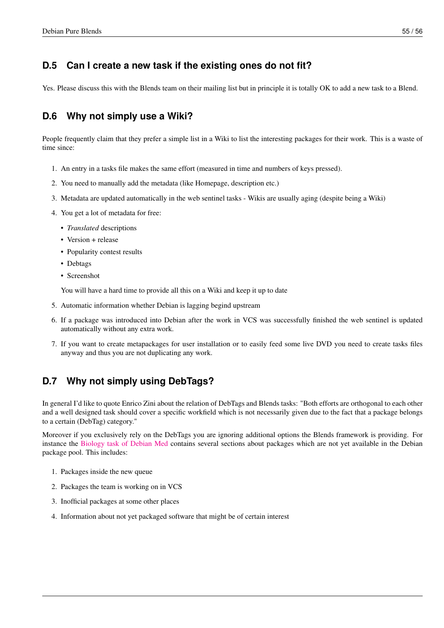# <span id="page-61-0"></span>**D.5 Can I create a new task if the existing ones do not fit?**

Yes. Please discuss this with the Blends team on their mailing list but in principle it is totally OK to add a new task to a Blend.

# <span id="page-61-1"></span>**D.6 Why not simply use a Wiki?**

People frequently claim that they prefer a simple list in a Wiki to list the interesting packages for their work. This is a waste of time since:

- 1. An entry in a tasks file makes the same effort (measured in time and numbers of keys pressed).
- 2. You need to manually add the metadata (like Homepage, description etc.)
- 3. Metadata are updated automatically in the web sentinel tasks Wikis are usually aging (despite being a Wiki)
- 4. You get a lot of metadata for free:
	- *Translated* descriptions
	- Version + release
	- Popularity contest results
	- Debtags
	- Screenshot

You will have a hard time to provide all this on a Wiki and keep it up to date

- 5. Automatic information whether Debian is lagging begind upstream
- 6. If a package was introduced into Debian after the work in VCS was successfully finished the web sentinel is updated automatically without any extra work.
- 7. If you want to create metapackages for user installation or to easily feed some live DVD you need to create tasks files anyway and thus you are not duplicating any work.

# <span id="page-61-2"></span>**D.7 Why not simply using DebTags?**

In general I'd like to quote Enrico Zini about the relation of DebTags and Blends tasks: "Both efforts are orthogonal to each other and a well designed task should cover a specific workfield which is not necessarily given due to the fact that a package belongs to a certain (DebTag) category."

Moreover if you exclusively rely on the DebTags you are ignoring additional options the Blends framework is providing. For instance the [Biology task of Debian Med](http://blends.debian.org/med/tasks/bio) contains several sections about packages which are not yet available in the Debian package pool. This includes:

- 1. Packages inside the new queue
- 2. Packages the team is working on in VCS
- 3. Inofficial packages at some other places
- 4. Information about not yet packaged software that might be of certain interest